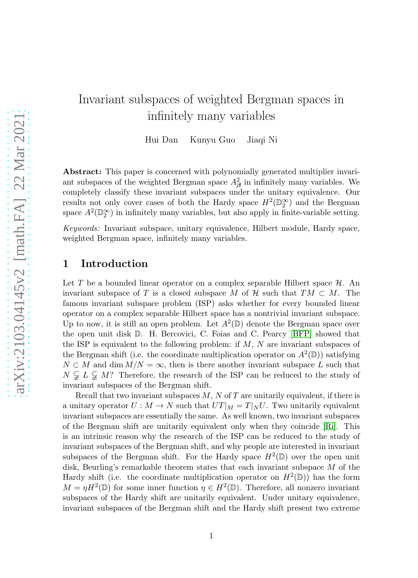# Invariant subspaces of weighted Bergman spaces in infinitely many variables

Hui Dan Kunyu Guo Jiaqi Ni

Abstract: This paper is concerned with polynomially generated multiplier invariant subspaces of the weighted Bergman space  $A^2_{\beta}$  in infinitely many variables. We completely classify these invariant subspaces under the unitary equivalence. Our results not only cover cases of both the Hardy space  $H^2(\mathbb{D}_2^{\infty})$  and the Bergman space  $A^2(\mathbb{D}_2^{\infty})$  in infinitely many variables, but also apply in finite-variable setting.

*Keywords:* Invariant subspace, unitary equivalence, Hilbert module, Hardy space, weighted Bergman space, infinitely many variables.

# 1 Introduction

Let T be a bounded linear operator on a complex separable Hilbert space  $\mathcal{H}$ . An invariant subspace of T is a closed subspace M of H such that  $TM \subset M$ . The famous invariant subspace problem (ISP) asks whether for every bounded linear operator on a complex separable Hilbert space has a nontrivial invariant subspace. Up to now, it is still an open problem. Let  $A^2(\mathbb{D})$  denote the Bergman space over the open unit disk D. H. Bercovici, C. Foias and C. Pearcy [\[BFP\]](#page-19-0) showed that the ISP is equivalent to the following problem: if  $M$ ,  $N$  are invariant subspaces of the Bergman shift (i.e. the coordinate multiplication operator on  $A^2(\mathbb{D})$ ) satisfying  $N \subset M$  and dim  $M/N = \infty$ , then is there another invariant subspace L such that  $N \subsetneq L \subsetneq M$ ? Therefore, the research of the ISP can be reduced to the study of invariant subspaces of the Bergman shift.

Recall that two invariant subspaces  $M$ ,  $N$  of  $T$  are unitarily equivalent, if there is a unitary operator  $U: M \to N$  such that  $UT|_M = T|_N U$ . Two unitarily equivalent invariant subspaces are essentially the same. As well known, two invariant subspaces of the Bergman shift are unitarily equivalent only when they coincide [\[Ri\]](#page-20-0). This is an intrinsic reason why the research of the ISP can be reduced to the study of invariant subspaces of the Bergman shift, and why people are interested in invariant subspaces of the Bergman shift. For the Hardy space  $H^2(\mathbb{D})$  over the open unit disk, Beurling's remarkable theorem states that each invariant subspace  $M$  of the Hardy shift (i.e. the coordinate multiplication operator on  $H^2(\mathbb{D})$ ) has the form  $M = \eta H^2(\mathbb{D})$  for some inner function  $\eta \in H^2(\mathbb{D})$ . Therefore, all nonzero invariant subspaces of the Hardy shift are unitarily equivalent. Under unitary equivalence, invariant subspaces of the Bergman shift and the Hardy shift present two extreme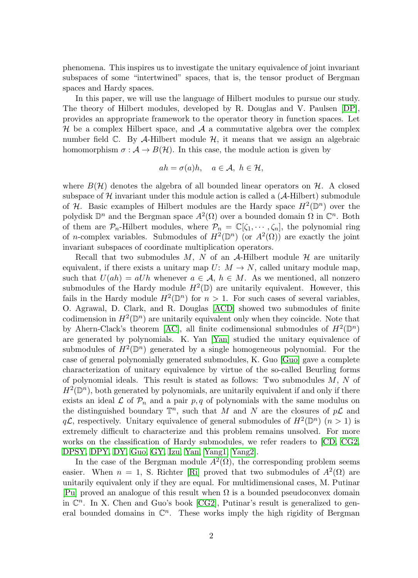phenomena. This inspires us to investigate the unitary equivalence of joint invariant subspaces of some "intertwined" spaces, that is, the tensor product of Bergman spaces and Hardy spaces.

In this paper, we will use the language of Hilbert modules to pursue our study. The theory of Hilbert modules, developed by R. Douglas and V. Paulsen [\[DP\]](#page-20-1), provides an appropriate framework to the operator theory in function spaces. Let  $H$  be a complex Hilbert space, and  $A$  a commutative algebra over the complex number field  $\mathbb{C}$ . By A-Hilbert module  $\mathcal{H}$ , it means that we assign an algebraic homomorphism  $\sigma : A \to B(H)$ . In this case, the module action is given by

$$
ah = \sigma(a)h, \quad a \in \mathcal{A}, \ h \in \mathcal{H},
$$

where  $B(\mathcal{H})$  denotes the algebra of all bounded linear operators on  $\mathcal{H}$ . A closed subspace of  $H$  invariant under this module action is called a  $(A-Hilbert)$  submodule of H. Basic examples of Hilbert modules are the Hardy space  $H^2(\mathbb{D}^n)$  over the polydisk  $\mathbb{D}^n$  and the Bergman space  $A^2(\Omega)$  over a bounded domain  $\Omega$  in  $\mathbb{C}^n$ . Both of them are  $\mathcal{P}_n$ -Hilbert modules, where  $\mathcal{P}_n = \mathbb{C}[\zeta_1, \dots, \zeta_n]$ , the polynomial ring of *n*-complex variables. Submodules of  $H^2(\mathbb{D}^n)$  (or  $A^2(\Omega)$ ) are exactly the joint invariant subspaces of coordinate multiplication operators.

Recall that two submodules  $M$ ,  $N$  of an  $A$ -Hilbert module  $H$  are unitarily equivalent, if there exists a unitary map  $U: M \to N$ , called unitary module map, such that  $U(ah) = aUh$  whenever  $a \in \mathcal{A}, h \in M$ . As we mentioned, all nonzero submodules of the Hardy module  $H^2(\mathbb{D})$  are unitarily equivalent. However, this fails in the Hardy module  $H^2(\mathbb{D}^n)$  for  $n > 1$ . For such cases of several variables, O. Agrawal, D. Clark, and R. Douglas [\[ACD\]](#page-19-1) showed two submodules of finite codimension in  $H^2(\mathbb{D}^n)$  are unitarily equivalent only when they coincide. Note that by Ahern-Clack's theorem [\[AC\]](#page-19-2), all finite codimensional submodules of  $H^2(\mathbb{D}^n)$ are generated by polynomials. K. Yan [\[Yan\]](#page-20-2) studied the unitary equivalence of submodules of  $H^2(\mathbb{D}^n)$  generated by a single homogeneous polynomial. For the case of general polynomially generated submodules, K. Guo [\[Guo\]](#page-20-3) gave a complete characterization of unitary equivalence by virtue of the so-called Beurling forms of polynomial ideals. This result is stated as follows: Two submodules  $M$ ,  $N$  of  $H^2(\mathbb{D}^n)$ , both generated by polynomials, are unitarily equivalent if and only if there exists an ideal  $\mathcal L$  of  $\mathcal P_n$  and a pair  $p, q$  of polynomials with the same modulus on the distinguished boundary  $\mathbb{T}^n$ , such that M and N are the closures of  $p\mathcal{L}$  and  $q\mathcal{L}$ , respectively. Unitary equivalence of general submodules of  $H^2(\mathbb{D}^n)$   $(n > 1)$  is extremely difficult to characterize and this problem remains unsolved. For more works on the classification of Hardy submodules, we refer readers to [\[CD,](#page-19-3) [CG2,](#page-20-4) [DPSY,](#page-20-5) [DPY,](#page-20-6) [DY,](#page-20-7) [Guo,](#page-20-3) [GY,](#page-20-8) [Izu,](#page-20-9) [Yan,](#page-20-2) [Yang1,](#page-20-10) [Yang2\]](#page-21-0).

In the case of the Bergman module  $A^2(\Omega)$ , the corresponding problem seems easier. When  $n = 1$ , S. Richter [\[Ri\]](#page-20-0) proved that two submodules of  $A^2(\Omega)$  are unitarily equivalent only if they are equal. For multidimensional cases, M. Putinar [\[Pu\]](#page-20-11) proved an analogue of this result when  $\Omega$  is a bounded pseudoconvex domain in  $\mathbb{C}^n$ . In X. Chen and Guo's book [\[CG2\]](#page-20-4), Putinar's result is generalized to general bounded domains in  $\mathbb{C}^n$ . These works imply the high rigidity of Bergman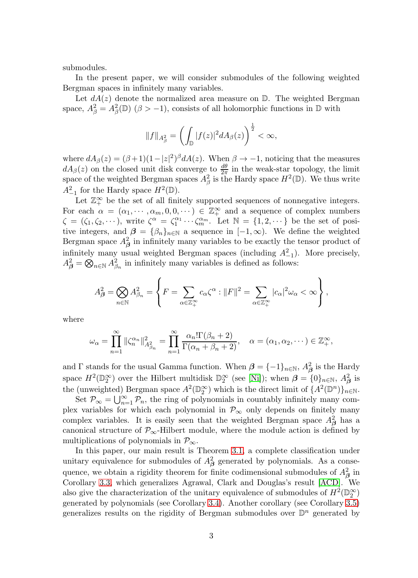submodules.

In the present paper, we will consider submodules of the following weighted Bergman spaces in infinitely many variables.

Let  $dA(z)$  denote the normalized area measure on  $\mathbb{D}$ . The weighted Bergman space,  $A_{\beta}^2 = A_{\beta}^2(\mathbb{D})$  ( $\beta > -1$ ), consists of all holomorphic functions in  $\mathbb{D}$  with

$$
||f||_{A_{\beta}^2} = \left(\int_{\mathbb{D}} |f(z)|^2 dA_{\beta}(z)\right)^{\frac{1}{2}} < \infty,
$$

where  $dA_{\beta}(z) = (\beta + 1)(1 - |z|^2)^{\beta} dA(z)$ . When  $\beta \to -1$ , noticing that the measures  $dA_\beta(z)$  on the closed unit disk converge to  $\frac{d\theta}{2\pi}$  in the weak-star topology, the limit space of the weighted Bergman spaces  $A^2_\beta$  is the Hardy space  $H^2(\mathbb{D})$ . We thus write  $A_{-1}^2$  for the Hardy space  $H^2(\mathbb{D})$ .

Let  $\mathbb{Z}_+^{\infty}$  be the set of all finitely supported sequences of nonnegative integers. For each  $\alpha = (\alpha_1, \dots, \alpha_m, 0, 0, \dots) \in \mathbb{Z}_+^{\infty}$  and a sequence of complex numbers  $\zeta = (\zeta_1, \zeta_2, \dots),$  write  $\zeta^{\alpha} = \zeta_1^{\alpha_1} \cdots \zeta_m^{\alpha_m}$ . Let  $\mathbb{N} = \{1, 2, \dots\}$  be the set of positive integers, and  $\beta = {\beta_n}_{n \in \mathbb{N}}$  a sequence in  $[-1, \infty)$ . We define the weighted Bergman space  $A^2_\beta$  in infinitely many variables to be exactly the tensor product of infinitely many usual weighted Bergman spaces (including  $A_{-1}^2$ ). More precisely,  $A_{\beta}^2 = \bigotimes_{n \in \mathbb{N}} A_{\beta_n}^2$  in infinitely many variables is defined as follows:

$$
A_{\beta}^{2} = \bigotimes_{n \in \mathbb{N}} A_{\beta_{n}}^{2} = \left\{ F = \sum_{\alpha \in \mathbb{Z}_{+}^{\infty}} c_{\alpha} \zeta^{\alpha} : ||F||^{2} = \sum_{\alpha \in \mathbb{Z}_{+}^{\infty}} |c_{\alpha}|^{2} \omega_{\alpha} < \infty \right\},\,
$$

where

$$
\omega_{\alpha} = \prod_{n=1}^{\infty} \|\zeta_n^{\alpha_n}\|_{A_{\beta_n}^2}^2 = \prod_{n=1}^{\infty} \frac{\alpha_n! \Gamma(\beta_n + 2)}{\Gamma(\alpha_n + \beta_n + 2)}, \quad \alpha = (\alpha_1, \alpha_2, \dots) \in \mathbb{Z}_+^{\infty},
$$

and  $\Gamma$  stands for the usual Gamma function. When  $\beta = \{-1\}_{n \in \mathbb{N}}$ ,  $A_{\beta}^2$  is the Hardy space  $H^2(\mathbb{D}_2^{\infty})$  over the Hilbert multidisk  $\mathbb{D}_2^{\infty}$  (see [\[Ni\]](#page-20-12)); when  $\boldsymbol{\beta} = \{0\}_{n\in\mathbb{N}}, A_{\boldsymbol{\beta}}^2$  is the (unweighted) Bergman space  $A^2(\mathbb{D}_2^{\infty})$  which is the direct limit of  $\{A^2(\mathbb{D}^n)\}_{n\in\mathbb{N}}$ .

Set  $\mathcal{P}_{\infty} = \bigcup_{n=1}^{\infty} \mathcal{P}_n$ , the ring of polynomials in countably infinitely many complex variables for which each polynomial in  $\mathcal{P}_{\infty}$  only depends on finitely many complex variables. It is easily seen that the weighted Bergman space  $A^2_{\beta}$  has a canonical structure of  $\mathcal{P}_{\infty}$ -Hilbert module, where the module action is defined by multiplications of polynomials in  $\mathcal{P}_{\infty}$ .

In this paper, our main result is Theorem [3.1,](#page-7-0) a complete classification under unitary equivalence for submodules of  $A^2_\beta$  generated by polynomials. As a consequence, we obtain a rigidity theorem for finite codimensional submodules of  $A^2_\beta$  in Corollary [3.3,](#page-8-0) which generalizes Agrawal, Clark and Douglas's result [\[ACD\]](#page-19-1). We also give the characterization of the unitary equivalence of submodules of  $H^2(\mathbb{D}_2^{\infty})$ generated by polynomials (see Corollary [3.4\)](#page-8-1). Another corollary (see Corollary [3.5\)](#page-8-2) generalizes results on the rigidity of Bergman submodules over  $\mathbb{D}^n$  generated by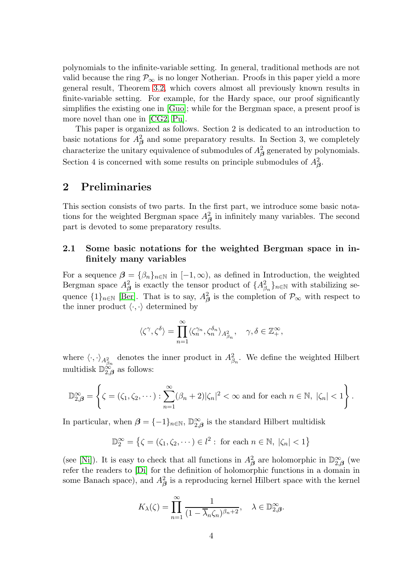polynomials to the infinite-variable setting. In general, traditional methods are not valid because the ring  $\mathcal{P}_{\infty}$  is no longer Notherian. Proofs in this paper yield a more general result, Theorem [3.2,](#page-7-1) which covers almost all previously known results in finite-variable setting. For example, for the Hardy space, our proof significantly simplifies the existing one in [\[Guo\]](#page-20-3); while for the Bergman space, a present proof is more novel than one in [\[CG2,](#page-20-4) [Pu\]](#page-20-11).

This paper is organized as follows. Section 2 is dedicated to an introduction to basic notations for  $A^2_{\beta}$  and some preparatory results. In Section 3, we completely characterize the unitary equivalence of submodules of  $A^2_\beta$  generated by polynomials. Section 4 is concerned with some results on principle submodules of  $A^2_{\beta}$ .

### 2 Preliminaries

This section consists of two parts. In the first part, we introduce some basic notations for the weighted Bergman space  $A_{\beta}^2$  in infinitely many variables. The second part is devoted to some preparatory results.

### 2.1 Some basic notations for the weighted Bergman space in infinitely many variables

For a sequence  $\beta = {\beta_n}_{n\in\mathbb{N}}$  in  $[-1,\infty)$ , as defined in Introduction, the weighted Bergman space  $A^2_{\beta}$  is exactly the tensor product of  $\{A^2_{\beta_n}\}_{n\in\mathbb{N}}$  with stabilizing sequence  $\{1\}_{n\in\mathbb{N}}$  [\[Ber\]](#page-19-4). That is to say,  $A^2_{\beta}$  is the completion of  $\mathcal{P}_{\infty}$  with respect to the inner product  $\langle \cdot, \cdot \rangle$  determined by

$$
\langle \zeta^{\gamma}, \zeta^{\delta} \rangle = \prod_{n=1}^{\infty} \langle \zeta_n^{\gamma_n}, \zeta_n^{\delta_n} \rangle_{A_{\beta_n}^2}, \quad \gamma, \delta \in \mathbb{Z}_+^{\infty},
$$

where  $\langle \cdot, \cdot \rangle_{A_{\beta_n}^2}$  denotes the inner product in  $A_{\beta_n}^2$ . We define the weighted Hilbert multidisk  $\mathbb{D}_{2,\beta}^{\infty}$  as follows:

$$
\mathbb{D}_{2,\beta}^{\infty} = \left\{ \zeta = (\zeta_1, \zeta_2, \cdots) : \sum_{n=1}^{\infty} (\beta_n + 2)|\zeta_n|^2 < \infty \text{ and for each } n \in \mathbb{N}, |\zeta_n| < 1 \right\}.
$$

In particular, when  $\beta = \{-1\}_{n \in \mathbb{N}}$ ,  $\mathbb{D}_{2,\beta}^{\infty}$  is the standard Hilbert multidisk

$$
\mathbb{D}_2^{\infty} = \left\{ \zeta = (\zeta_1, \zeta_2, \dots) \in l^2 : \text{ for each } n \in \mathbb{N}, \ |\zeta_n| < 1 \right\}
$$

(see [\[Ni\]](#page-20-12)). It is easy to check that all functions in  $A_{\beta}^2$  are holomorphic in  $\mathbb{D}_{2,\beta}^{\infty}$  (we refer the readers to [\[Di\]](#page-20-13) for the definition of holomorphic functions in a domain in some Banach space), and  $A^2_{\beta}$  is a reproducing kernel Hilbert space with the kernel

$$
K_{\lambda}(\zeta) = \prod_{n=1}^{\infty} \frac{1}{(1 - \overline{\lambda}_n \zeta_n)^{\beta_n + 2}}, \quad \lambda \in \mathbb{D}_{2,\beta}^{\infty}.
$$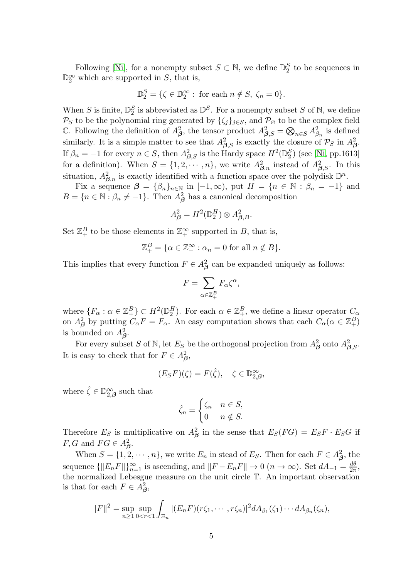Following [\[Ni\]](#page-20-12), for a nonempty subset  $S \subset \mathbb{N}$ , we define  $\mathbb{D}_2^S$  to be sequences in  $\mathbb{D}_2^{\infty}$  which are supported in S, that is,

$$
\mathbb{D}_2^S = \{ \zeta \in \mathbb{D}_2^{\infty} : \text{ for each } n \notin S, \ \zeta_n = 0 \}.
$$

When S is finite,  $\mathbb{D}_{2}^{S}$  is abbreviated as  $\mathbb{D}^{S}$ . For a nonempty subset S of N, we define  $\mathcal{P}_S$  to be the polynomial ring generated by  $\{\zeta_j\}_{j\in S}$ , and  $\mathcal{P}_{\varnothing}$  to be the complex field C. Following the definition of  $A_{\beta}^2$ , the tensor product  $A_{\beta,S}^2 = \bigotimes_{n \in S} A_{\beta_n}^2$  is defined similarly. It is a simple matter to see that  $A_{\beta,S}^2$  is exactly the closure of  $\mathcal{P}_S$  in  $A_{\beta}^2$ . If  $\beta_n = -1$  for every  $n \in S$ , then  $A_{\beta,S}^2$  is the Hardy space  $H^2(\mathbb{D}_2^S)$  (see [\[Ni,](#page-20-12) pp.1613] for a definition). When  $S = \{1, 2, \dots, n\}$ , we write  $A_{\beta,n}^2$  instead of  $A_{\beta,S}^2$ . In this situation,  $A_{\beta,n}^2$  is exactly identified with a function space over the polydisk  $\mathbb{D}^n$ .

Fix a sequence  $\beta = {\beta_n}_{n \in \mathbb{N}}$  in  $[-1,\infty)$ , put  $H = {n \in \mathbb{N} : \beta_n = -1}$  and  $B = \{n \in \mathbb{N} : \beta_n \neq -1\}.$  Then  $A^2_{\beta}$  has a canonical decomposition

$$
A_{\boldsymbol{\beta}}^2 = H^2(\mathbb{D}_2^H) \otimes A_{\boldsymbol{\beta},B}^2.
$$

Set  $\mathbb{Z}_+^B$  to be those elements in  $\mathbb{Z}_+^{\infty}$  supported in B, that is,

$$
\mathbb{Z}_{+}^{B} = \{ \alpha \in \mathbb{Z}_{+}^{\infty} : \alpha_{n} = 0 \text{ for all } n \notin B \}.
$$

This implies that every function  $F \in A_\beta^2$  can be expanded uniquely as follows:

$$
F = \sum_{\alpha \in \mathbb{Z}_{+}^{B}} F_{\alpha} \zeta^{\alpha},
$$

where  $\{F_{\alpha}: \alpha \in \mathbb{Z}_{+}^{B}\}\subset H^{2}(\mathbb{D}_{2}^{H})$ . For each  $\alpha \in \mathbb{Z}_{+}^{B}$ , we define a linear operator  $C_{\alpha}$ on  $A^2_{\beta}$  by putting  $C_{\alpha}F = F_{\alpha}$ . An easy computation shows that each  $C_{\alpha}(\alpha \in \mathbb{Z}_{+}^B)$ is bounded on  $A^2_{\beta}$ .

For every subset S of N, let  $E_S$  be the orthogonal projection from  $A^2_{\beta}$  onto  $A^2_{\beta,S}$ . It is easy to check that for  $F \in A^2_{\beta}$ ,

$$
(E_S F)(\zeta) = F(\hat{\zeta}), \quad \zeta \in \mathbb{D}_{2,\beta}^{\infty},
$$

where  $\hat{\zeta} \in \mathbb{D}_{2,\beta}^{\infty}$  such that

$$
\hat{\zeta}_n = \begin{cases} \zeta_n & n \in S, \\ 0 & n \notin S. \end{cases}
$$

Therefore  $E_S$  is multiplicative on  $A^2_{\beta}$  in the sense that  $E_S(FG) = E_S F \cdot E_S G$  if  $F, G \text{ and } FG \in A^2_{\beta}.$ 

When  $S = \{1, 2, \dots, n\}$ , we write  $E_n$  in stead of  $E_S$ . Then for each  $F \in A_\beta^2$ , the sequence  $\{\|E_n F\|\}_{n=1}^{\infty}$  is ascending, and  $\|F - E_n F\| \to 0 \ (n \to \infty)$ . Set  $dA_{-1} = \frac{d\theta}{2\pi}$  $rac{d\theta}{2\pi}$ , the normalized Lebesgue measure on the unit circle T. An important observation is that for each  $F \in A^2_{\beta}$ ,

$$
||F||2 = \sup_{n\geq 1} \sup_{0\leq r\leq 1} \int_{\Xi_n} |(E_n F)(r\zeta_1,\cdots,r\zeta_n)|^2 dA_{\beta_1}(\zeta_1)\cdots dA_{\beta_n}(\zeta_n),
$$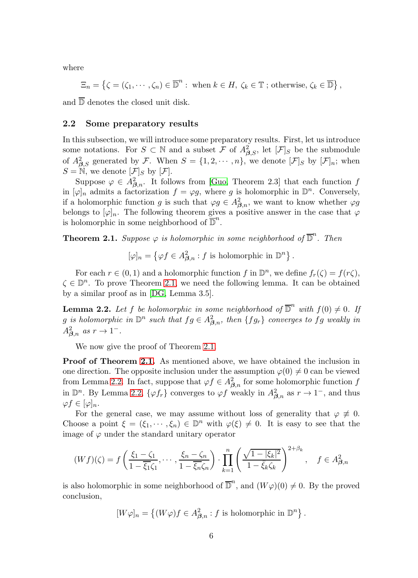where

$$
\Xi_n = \left\{ \zeta = (\zeta_1, \cdots, \zeta_n) \in \overline{\mathbb{D}}^n : \text{ when } k \in H, \ \zeta_k \in \mathbb{T} \text{ ; otherwise, } \zeta_k \in \overline{\mathbb{D}} \right\},\
$$

and  $\overline{D}$  denotes the closed unit disk.

#### 2.2 Some preparatory results

In this subsection, we will introduce some preparatory results. First, let us introduce some notations. For  $S \subset \mathbb{N}$  and a subset  $\mathcal F$  of  $A_{\beta,S}^2$ , let  $[\mathcal F]_S$  be the submodule of  $A_{\beta,S}^2$  generated by F. When  $S = \{1, 2, \cdots, n\}$ , we denote  $[\mathcal{F}]_S$  by  $[\mathcal{F}]_n$ ; when  $S = \mathbb{N}$ , we denote  $[\mathcal{F}]_S$  by  $[\mathcal{F}]$ .

Suppose  $\varphi \in A_{\beta,n}^2$ . It follows from [\[Guo,](#page-20-3) Theorem 2.3] that each function f in  $[\varphi]_n$  admits a factorization  $f = \varphi g$ , where g is holomorphic in  $\mathbb{D}^n$ . Conversely, if a holomorphic function g is such that  $\varphi g \in A_{\beta,n}^2$ , we want to know whether  $\varphi g$ belongs to  $[\varphi]_n$ . The following theorem gives a positive answer in the case that  $\varphi$ is holomorphic in some neighborhood of  $\overline{\mathbb{D}}^n$ .

<span id="page-5-0"></span>**Theorem 2.1.** Suppose  $\varphi$  is holomorphic in some neighborhood of  $\overline{\mathbb{D}}^n$ . Then

 $[\varphi]_n = \left\{ \varphi f \in A_{\beta,n}^2 : f \text{ is holomorphic in } \mathbb{D}^n \right\}.$ 

For each  $r \in (0,1)$  and a holomorphic function f in  $\mathbb{D}^n$ , we define  $f_r(\zeta) = f(r\zeta)$ ,  $\zeta \in \mathbb{D}^n$ . To prove Theorem [2.1,](#page-5-0) we need the following lemma. It can be obtained by a similar proof as in [\[DG,](#page-20-14) Lemma 3.5].

<span id="page-5-1"></span>**Lemma 2.2.** Let f be holomorphic in some neighborhood of  $\overline{D}^n$  with  $f(0) \neq 0$ . If g is holomorphic in  $\mathbb{D}^n$  such that  $fg \in A_{\boldsymbol{\beta},n}^2$ , then  $\{fg_r\}$  converges to  $fg$  weakly in  $A_{\boldsymbol{\beta},n}^2$  as  $r \to 1^-$ .

We now give the proof of Theorem [2.1.](#page-5-0)

Proof of Theorem [2.1.](#page-5-0) As mentioned above, we have obtained the inclusion in one direction. The opposite inclusion under the assumption  $\varphi(0) \neq 0$  can be viewed from Lemma [2.2.](#page-5-1) In fact, suppose that  $\varphi f \in A_{\beta,n}^2$  for some holomorphic function f in  $\mathbb{D}^n$ . By Lemma [2.2,](#page-5-1)  $\{\varphi f_r\}$  converges to  $\varphi f$  weakly in  $A_{\beta,n}^2$  as  $r \to 1^-$ , and thus  $\varphi f \in [\varphi]_n.$ 

For the general case, we may assume without loss of generality that  $\varphi \neq 0$ . Choose a point  $\xi = (\xi_1, \dots, \xi_n) \in \mathbb{D}^n$  with  $\varphi(\xi) \neq 0$ . It is easy to see that the image of  $\varphi$  under the standard unitary operator

$$
(Wf)(\zeta) = f\left(\frac{\xi_1 - \zeta_1}{1 - \overline{\xi_1}\zeta_1}, \cdots, \frac{\xi_n - \zeta_n}{1 - \overline{\xi_n}\zeta_n}\right) \cdot \prod_{k=1}^n \left(\frac{\sqrt{1 - |\xi_k|^2}}{1 - \overline{\xi_k}\zeta_k}\right)^{2 + \beta_k}, \quad f \in A_{\beta,n}^2
$$

is also holomorphic in some neighborhood of  $\overline{\mathbb{D}}^n$ , and  $(W\varphi)(0) \neq 0$ . By the proved conclusion,

$$
[W\varphi]_n = \left\{ (W\varphi)f \in A_{\beta,n}^2 : f \text{ is holomorphic in } \mathbb{D}^n \right\}.
$$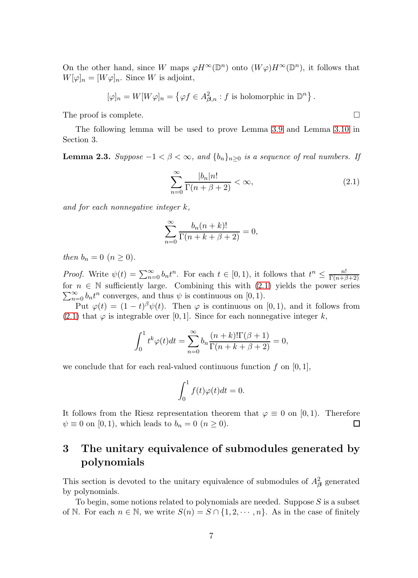On the other hand, since W maps  $\varphi H^{\infty}(\mathbb{D}^n)$  onto  $(W\varphi)H^{\infty}(\mathbb{D}^n)$ , it follows that  $W[\varphi]_n = [W\varphi]_n$ . Since W is adjoint,

$$
[\varphi]_n = W[W\varphi]_n = \left\{\varphi f \in A_{\beta,n}^2 : f \text{ is holomorphic in } \mathbb{D}^n\right\}.
$$

The proof is complete.  $\Box$ 

The following lemma will be used to prove Lemma [3.9](#page-12-0) and Lemma [3.10](#page-12-1) in Section 3.

<span id="page-6-1"></span>**Lemma 2.3.** *Suppose* −1 <  $β$  < ∞, and  ${b_n}_n>₀$  *is a sequence of real numbers. If* 

<span id="page-6-0"></span>
$$
\sum_{n=0}^{\infty} \frac{|b_n| n!}{\Gamma(n + \beta + 2)} < \infty,\tag{2.1}
$$

*and for each nonnegative integer* k*,*

$$
\sum_{n=0}^{\infty} \frac{b_n(n+k)!}{\Gamma(n+k+\beta+2)} = 0,
$$

*then*  $b_n = 0$  ( $n \ge 0$ ).

*Proof.* Write  $\psi(t) = \sum_{n=0}^{\infty} b_n t^n$ . For each  $t \in [0,1)$ , it follows that  $t^n \leq \frac{n!}{\Gamma(n+\beta)}$  $\Gamma(n+\beta+2)$ for  $n \in \mathbb{N}$  sufficiently large. Combining this with  $(2.1)$  yields the power series  $\sum_{n=0}^{\infty} b_n t^n$  converges, and thus  $\psi$  is continuous on [0, 1).

Put  $\varphi(t) = (1-t)^{\beta} \psi(t)$ . Then  $\varphi$  is continuous on [0,1], and it follows from  $(2.1)$  that  $\varphi$  is integrable over [0, 1]. Since for each nonnegative integer k,

$$
\int_0^1 t^k \varphi(t) dt = \sum_{n=0}^\infty b_n \frac{(n+k)!\Gamma(\beta+1)}{\Gamma(n+k+\beta+2)} = 0,
$$

we conclude that for each real-valued continuous function  $f$  on [0, 1],

$$
\int_0^1 f(t)\varphi(t)dt = 0.
$$

It follows from the Riesz representation theorem that  $\varphi \equiv 0$  on [0,1]. Therefore  $\psi \equiv 0$  on [0, 1), which leads to  $b_n = 0$  ( $n \ge 0$ ).  $\Box$ 

# 3 The unitary equivalence of submodules generated by polynomials

This section is devoted to the unitary equivalence of submodules of  $A^2_\beta$  generated by polynomials.

To begin, some notions related to polynomials are needed. Suppose  $S$  is a subset of N. For each  $n \in \mathbb{N}$ , we write  $S(n) = S \cap \{1, 2, \dots, n\}$ . As in the case of finitely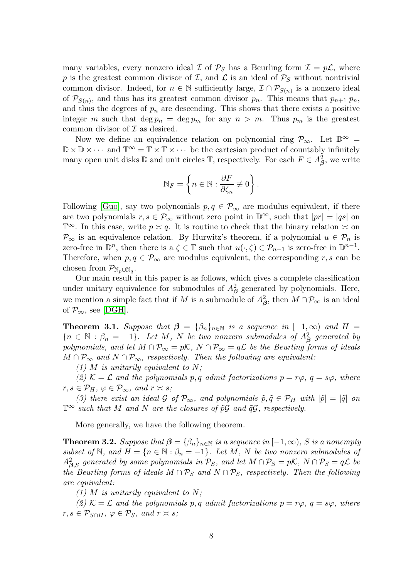many variables, every nonzero ideal  $\mathcal I$  of  $\mathcal P_S$  has a Beurling form  $\mathcal I = p\mathcal L$ , where p is the greatest common divisor of  $\mathcal{I}$ , and  $\mathcal{L}$  is an ideal of  $\mathcal{P}_S$  without nontrivial common divisor. Indeed, for  $n \in \mathbb{N}$  sufficiently large,  $\mathcal{I} \cap \mathcal{P}_{S(n)}$  is a nonzero ideal of  $\mathcal{P}_{S(n)}$ , and thus has its greatest common divisor  $p_n$ . This means that  $p_{n+1}|p_n$ , and thus the degrees of  $p_n$  are descending. This shows that there exists a positive integer m such that  $\deg p_n = \deg p_m$  for any  $n > m$ . Thus  $p_m$  is the greatest common divisor of  $\mathcal I$  as desired.

Now we define an equivalence relation on polynomial ring  $\mathcal{P}_{\infty}$ . Let  $\mathbb{D}^{\infty}$  $\mathbb{D}\times\mathbb{D}\times\cdots\;\text{and}\;\mathbb{T}^\infty=\mathbb{T}\times\mathbb{T}\times\cdots\;\text{be the cartesian product of countably infinitely}$ many open unit disks  $\mathbb D$  and unit circles  $\mathbb T$ , respectively. For each  $F \in A^2_{\beta}$ , we write

$$
\mathbb{N}_F = \left\{ n \in \mathbb{N} : \frac{\partial F}{\partial \zeta_n} \not\equiv 0 \right\}.
$$

Following [\[Guo\]](#page-20-3), say two polynomials  $p, q \in \mathcal{P}_{\infty}$  are modulus equivalent, if there are two polynomials  $r, s \in \mathcal{P}_{\infty}$  without zero point in  $\mathbb{D}^{\infty}$ , such that  $|pr| = |qs|$  on  $\mathbb{T}^{\infty}$ . In this case, write  $p \asymp q$ . It is routine to check that the binary relation  $\asymp$  on  $\mathcal{P}_{\infty}$  is an equivalence relation. By Hurwitz's theorem, if a polynomial  $u \in \mathcal{P}_n$  is zero-free in  $\mathbb{D}^n$ , then there is a  $\zeta \in \mathbb{T}$  such that  $u(\cdot,\zeta) \in \mathcal{P}_{n-1}$  is zero-free in  $\mathbb{D}^{n-1}$ . Therefore, when  $p, q \in \mathcal{P}_{\infty}$  are modulus equivalent, the corresponding r, s can be chosen from  $\mathcal{P}_{\mathbb{N}_p \cup \mathbb{N}_q}$ .

Our main result in this paper is as follows, which gives a complete classification under unitary equivalence for submodules of  $A^2_\beta$  generated by polynomials. Here, we mention a simple fact that if M is a submodule of  $A^2_\beta$ , then  $M \cap \mathcal{P}_\infty$  is an ideal of  $\mathcal{P}_{\infty}$ , see [\[DGH\]](#page-20-15).

<span id="page-7-0"></span>**Theorem 3.1.** Suppose that  $\beta = {\beta_n}_{n \in \mathbb{N}}$  is a sequence in  $[-1,\infty)$  and  $H =$  ${n \in \mathbb{N} : \beta_n = -1}$ *. Let* M, N *be two nonzero submodules of*  $A^2_{\beta}$  generated by *polynomials, and let*  $M \cap \mathcal{P}_{\infty} = p\mathcal{K}$ ,  $N \cap \mathcal{P}_{\infty} = q\mathcal{L}$  *be the Beurling forms of ideals*  $M \cap \mathcal{P}_{\infty}$  and  $N \cap \mathcal{P}_{\infty}$ , respectively. Then the following are equivalent:

*(1)* M *is unitarily equivalent to* N*;*

(2)  $K = \mathcal{L}$  *and the polynomials* p, q *admit factorizations*  $p = r\varphi$ ,  $q = s\varphi$ , *where*  $r, s \in \mathcal{P}_H$ ,  $\varphi \in \mathcal{P}_\infty$ , and  $r \asymp s$ ;

*(3) there exist an ideal* G *of*  $\mathcal{P}_{\infty}$ *, and polynomials*  $\tilde{p}, \tilde{q} \in \mathcal{P}_H$  *with*  $|\tilde{p}| = |\tilde{q}|$  *on*  $\mathbb{T}^\infty$  *such that* M *and* N *are the closures of*  $\tilde{p}G$  *and*  $\tilde{q}G$ *, respectively.* 

More generally, we have the following theorem.

<span id="page-7-1"></span>**Theorem 3.2.** *Suppose that*  $\boldsymbol{\beta} = {\beta_n}_{n \in \mathbb{N}}$  *is a sequence in*  $[-1, \infty)$ *, S is a nonempty subset of*  $\mathbb{N}$ *, and*  $H = \{n \in \mathbb{N} : \beta_n = -1\}$ *. Let*  $M$ *,*  $N$  *be two nonzero submodules of*  $A_{\bm{\beta},S}^2$  generated by some polynomials in  $\mathcal{P}_S$ , and let  $M \cap \mathcal{P}_S = p\mathcal{K}$ ,  $N \cap \mathcal{P}_S = q\mathcal{L}$  be *the Beurling forms of ideals*  $M \cap \mathcal{P}_S$  *and*  $N \cap \mathcal{P}_S$ *, respectively. Then the following are equivalent:*

*(1)* M *is unitarily equivalent to* N*;*

(2)  $K = \mathcal{L}$  *and the polynomials* p, q *admit factorizations*  $p = r\varphi$ ,  $q = s\varphi$ , *where*  $r, s \in \mathcal{P}_{S \cap H}, \varphi \in \mathcal{P}_S, \text{ and } r \asymp s;$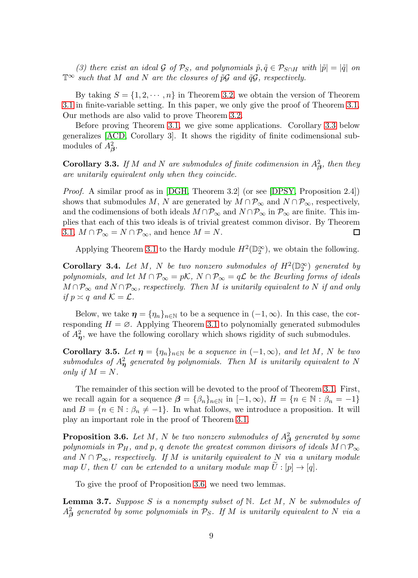*(3) there exist an ideal* G *of*  $\mathcal{P}_S$ *, and polynomials*  $\tilde{p}, \tilde{q} \in \mathcal{P}_{S \cap H}$  *with*  $|\tilde{p}| = |\tilde{q}|$  *on*  $\mathbb{T}^\infty$  *such that* M *and* N *are the closures of*  $\tilde{p}G$  *and*  $\tilde{q}G$ *, respectively.* 

By taking  $S = \{1, 2, \dots, n\}$  in Theorem [3.2,](#page-7-1) we obtain the version of Theorem [3.1](#page-7-0) in finite-variable setting. In this paper, we only give the proof of Theorem [3.1.](#page-7-0) Our methods are also valid to prove Theorem [3.2.](#page-7-1)

Before proving Theorem [3.1,](#page-7-0) we give some applications. Corollary [3.3](#page-8-0) below generalizes [\[ACD,](#page-19-1) Corollary 3]. It shows the rigidity of finite codimensional submodules of  $A^2_{\beta}$ .

<span id="page-8-0"></span>**Corollary 3.3.** *If* M and N are submodules of finite codimension in  $A^2_{\beta}$ , then they *are unitarily equivalent only when they coincide.*

*Proof.* A similar proof as in [\[DGH,](#page-20-15) Theorem 3.2] (or see [\[DPSY,](#page-20-5) Proposition 2.4]) shows that submodules M, N are generated by  $M \cap \mathcal{P}_{\infty}$  and  $N \cap \mathcal{P}_{\infty}$ , respectively, and the codimensions of both ideals  $M \cap \mathcal{P}_{\infty}$  and  $N \cap \mathcal{P}_{\infty}$  in  $\mathcal{P}_{\infty}$  are finite. This implies that each of this two ideals is of trivial greatest common divisor. By Theorem [3.1,](#page-7-0)  $M \cap \mathcal{P}_{\infty} = N \cap \mathcal{P}_{\infty}$ , and hence  $M = N$ . □

Applying Theorem [3.1](#page-7-0) to the Hardy module  $H^2(\mathbb{D}_2^{\infty})$ , we obtain the following.

<span id="page-8-1"></span>**Corollary 3.4.** Let M, N be two nonzero submodules of  $H^2(\mathbb{D}_2^{\infty})$  generated by *polynomials, and let*  $M \cap \mathcal{P}_{\infty} = p\mathcal{K}$ ,  $N \cap \mathcal{P}_{\infty} = q\mathcal{L}$  *be the Beurling forms of ideals*  $M \cap \mathcal{P}_{\infty}$  and  $N \cap \mathcal{P}_{\infty}$ , respectively. Then M is unitarily equivalent to N if and only *if*  $p \asymp q$  *and*  $\mathcal{K} = \mathcal{L}$ *.* 

Below, we take  $\eta = {\eta_n}_{n \in \mathbb{N}}$  to be a sequence in  $(-1, \infty)$ . In this case, the corresponding  $H = \emptyset$ . Applying Theorem [3.1](#page-7-0) to polynomially generated submodules of  $A_{\eta}^2$ , we have the following corollary which shows rigidity of such submodules.

<span id="page-8-2"></span>**Corollary 3.5.** Let  $\eta = \{\eta_n\}_{n \in \mathbb{N}}$  be a sequence in  $(-1, \infty)$ , and let M, N be two  $submodules$  of  $A_{\eta}^2$  generated by polynomials. Then M is unitarily equivalent to N *only if*  $M = N$ .

The remainder of this section will be devoted to the proof of Theorem [3.1.](#page-7-0) First, we recall again for a sequence  $\beta = {\beta_n}_{n \in \mathbb{N}}$  in  $[-1,\infty)$ ,  $H = {n \in \mathbb{N} : \beta_n = -1}$ and  $B = \{n \in \mathbb{N} : \beta_n \neq -1\}$ . In what follows, we introduce a proposition. It will play an important role in the proof of Theorem [3.1.](#page-7-0)

<span id="page-8-3"></span>**Proposition 3.6.** Let  $M$ ,  $N$  be two nonzero submodules of  $A^2_{\boldsymbol{\beta}}$  generated by some *polynomials in*  $\mathcal{P}_H$ *, and* p*,* q denote the greatest common divisors of ideals  $M \cap \mathcal{P}_{\infty}$ *and*  $N ∩ P<sub>∞</sub>$ *, respectively. If* M *is unitarily equivalent to* N *via a unitary module map* U, then U can be extended to a unitary module map  $\tilde{U}$  : [p]  $\rightarrow$  [q].

To give the proof of Proposition [3.6,](#page-8-3) we need two lemmas.

<span id="page-8-4"></span>Lemma 3.7. *Suppose* S *is a nonempty subset of* N*. Let* M*,* N *be submodules of*  $A^2_{\boldsymbol{\beta}}$  generated by some polynomials in  $\mathcal{P}_S$ . If  $M$  is unitarily equivalent to  $N$  via a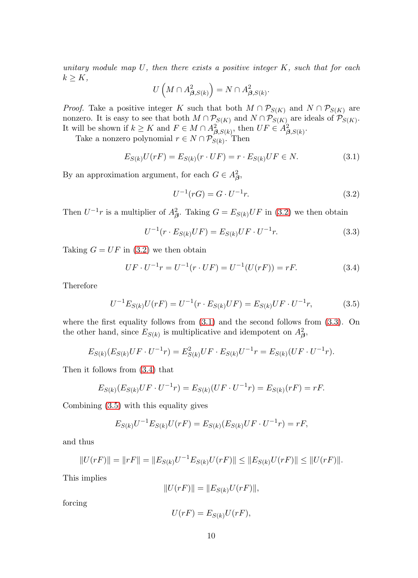*unitary module map* U*, then there exists a positive integer* K*, such that for each*  $k \geq K$ ,

$$
U\left(M\cap A_{\beta,S(k)}^{2}\right)=N\cap A_{\beta,S(k)}^{2}.
$$

*Proof.* Take a positive integer K such that both  $M \cap \mathcal{P}_{S(K)}$  and  $N \cap \mathcal{P}_{S(K)}$  are nonzero. It is easy to see that both  $M \cap \mathcal{P}_{S(K)}$  and  $N \cap \mathcal{P}_{S(K)}$  are ideals of  $\mathcal{P}_{S(K)}$ . It will be shown if  $k \geq K$  and  $F \in M \cap A^2_{\boldsymbol{\beta}, S(k)}$ , then  $UF \in A^2_{\boldsymbol{\beta}, S(k)}$ .

Take a nonzero polynomial  $r \in N \cap \mathcal{P}_{S(k)}$ . Then

<span id="page-9-1"></span>
$$
E_{S(k)}U(rF) = E_{S(k)}(r \cdot UF) = r \cdot E_{S(k)}UF \in N.
$$
\n(3.1)

By an approximation argument, for each  $G \in A^2_{\beta}$ ,

<span id="page-9-0"></span>
$$
U^{-1}(rG) = G \cdot U^{-1}r.
$$
\n(3.2)

Then  $U^{-1}r$  is a multiplier of  $A^2_{\beta}$ . Taking  $G = E_{S(k)}UF$  in [\(3.2\)](#page-9-0) we then obtain

<span id="page-9-2"></span>
$$
U^{-1}(r \cdot E_{S(k)}UF) = E_{S(k)}UF \cdot U^{-1}r.
$$
\n(3.3)

Taking  $G = UF$  in [\(3.2\)](#page-9-0) we then obtain

<span id="page-9-3"></span>
$$
UF \cdot U^{-1}r = U^{-1}(r \cdot UF) = U^{-1}(U(rF)) = rF.
$$
\n(3.4)

Therefore

<span id="page-9-4"></span>
$$
U^{-1}E_{S(k)}U(rF) = U^{-1}(r \cdot E_{S(k)}UF) = E_{S(k)}UF \cdot U^{-1}r, \qquad (3.5)
$$

where the first equality follows from  $(3.1)$  and the second follows from  $(3.3)$ . On the other hand, since  $E_{S(k)}$  is multiplicative and idempotent on  $A_{\beta}^2$ ,

$$
E_{S(k)}(E_{S(k)}UF \cdot U^{-1}r) = E_{S(k)}^2UF \cdot E_{S(k)}U^{-1}r = E_{S(k)}(UF \cdot U^{-1}r).
$$

Then it follows from [\(3.4\)](#page-9-3) that

$$
E_{S(k)}(E_{S(k)}UF \cdot U^{-1}r) = E_{S(k)}(UF \cdot U^{-1}r) = E_{S(k)}(rF) = rF.
$$

Combining [\(3.5\)](#page-9-4) with this equality gives

$$
E_{S(k)}U^{-1}E_{S(k)}U(rF) = E_{S(k)}(E_{S(k)}UF \cdot U^{-1}r) = rF,
$$

and thus

$$
||U(rF)|| = ||rF|| = ||E_{S(k)}U^{-1}E_{S(k)}U(rF)|| \le ||E_{S(k)}U(rF)|| \le ||U(rF)||.
$$

This implies

$$
||U(rF)|| = ||E_{S(k)}U(rF)||,
$$

forcing

$$
U(rF) = E_{S(k)}U(rF),
$$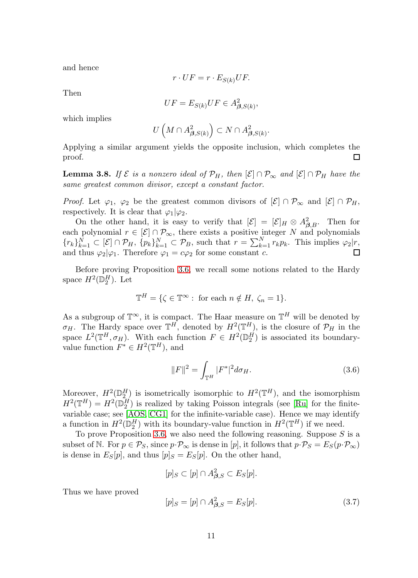and hence

$$
r \cdot UF = r \cdot E_{S(k)}UF.
$$

Then

$$
UF = E_{S(k)}UF \in A_{\beta,S(k)}^2,
$$

which implies

$$
U\left(M\cap A_{\beta,S(k)}^2\right)\subset N\cap A_{\beta,S(k)}^2.
$$

Applying a similar argument yields the opposite inclusion, which completes the proof.  $\Box$ 

<span id="page-10-0"></span>**Lemma 3.8.** *If*  $\mathcal{E}$  *is a nonzero ideal of*  $\mathcal{P}_H$ *, then*  $[\mathcal{E}] \cap \mathcal{P}_{\infty}$  *and*  $[\mathcal{E}] \cap \mathcal{P}_H$  *have the same greatest common divisor, except a constant factor.*

*Proof.* Let  $\varphi_1$ ,  $\varphi_2$  be the greatest common divisors of  $[\mathcal{E}] \cap \mathcal{P}_{\infty}$  and  $[\mathcal{E}] \cap \mathcal{P}_H$ , respectively. It is clear that  $\varphi_1|\varphi_2$ .

On the other hand, it is easy to verify that  $[\mathcal{E}] = [\mathcal{E}]_H \otimes A_{\beta,B}^2$ . Then for each polynomial  $r \in [\mathcal{E}] \cap \mathcal{P}_{\infty}$ , there exists a positive integer N and polynomials  ${r_k}_{k=1}^N \subset [\mathcal{E}] \cap \mathcal{P}_H$ ,  ${p_k}_{k=1}^N \subset \mathcal{P}_B$ , such that  $r = \sum_{k=1}^N r_k p_k$ . This implies  $\varphi_2 | r$ , and thus  $\varphi_2|\varphi_1$ . Therefore  $\varphi_1 = c\varphi_2$  for some constant c.

Before proving Proposition [3.6,](#page-8-3) we recall some notions related to the Hardy space  $H^2(\mathbb{D}_2^H)$ . Let

$$
\mathbb{T}^{H} = \{ \zeta \in \mathbb{T}^{\infty} : \text{ for each } n \notin H, \ \zeta_{n} = 1 \}.
$$

As a subgroup of  $\mathbb{T}^{\infty}$ , it is compact. The Haar measure on  $\mathbb{T}^{H}$  will be denoted by  $\sigma_H$ . The Hardy space over  $\mathbb{T}^H$ , denoted by  $H^2(\mathbb{T}^H)$ , is the closure of  $\mathcal{P}_H$  in the space  $L^2(\mathbb{T}^H, \sigma_H)$ . With each function  $F \in H^2(\mathbb{D}_2^H)$  is associated its boundaryvalue function  $F^* \in H^2(\mathbb{T}^H)$ , and

<span id="page-10-2"></span>
$$
||F||^2 = \int_{\mathbb{T}^H} |F^*|^2 d\sigma_H.
$$
\n(3.6)

Moreover,  $H^2(\mathbb{D}_2^H)$  is isometrically isomorphic to  $H^2(\mathbb{T}^H)$ , and the isomorphism  $H^2(\mathbb{T}^H) = H^2(\mathbb{D}_2^H)$  is realized by taking Poisson integrals (see [\[Ru\]](#page-20-16) for the finitevariable case; see [\[AOS,](#page-19-5) [CG1\]](#page-20-17) for the infinite-variable case). Hence we may identify a function in  $H^2(\mathbb{D}_2^H)$  with its boundary-value function in  $H^2(\mathbb{T}^H)$  if we need.

To prove Proposition [3.6,](#page-8-3) we also need the following reasoning. Suppose  $S$  is a subset of N. For  $p \in \mathcal{P}_S$ , since  $p \cdot \mathcal{P}_\infty$  is dense in [p], it follows that  $p \cdot \mathcal{P}_S = E_S(p \cdot \mathcal{P}_\infty)$ is dense in  $E_S[p]$ , and thus  $[p]_S = E_S[p]$ . On the other hand,

$$
[p]_S \subset [p] \cap A_{\beta,S}^2 \subset E_S[p].
$$

Thus we have proved

<span id="page-10-1"></span>
$$
[p]_S = [p] \cap A_{\beta,S}^2 = E_S[p]. \tag{3.7}
$$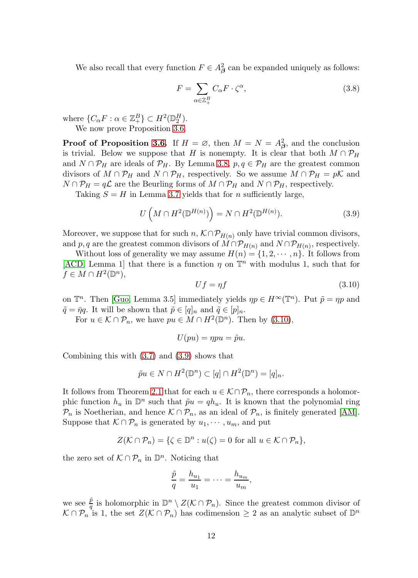We also recall that every function  $F \in A_\beta^2$  can be expanded uniquely as follows:

<span id="page-11-2"></span>
$$
F = \sum_{\alpha \in \mathbb{Z}_+^B} C_{\alpha} F \cdot \zeta^{\alpha},\tag{3.8}
$$

where  $\{C_{\alpha}F : \alpha \in \mathbb{Z}_{+}^{B}\}\subset H^{2}(\mathbb{D}_{2}^{H}).$ 

We now prove Proposition [3.6.](#page-8-3)

**Proof of Proposition [3.6.](#page-8-3)** If  $H = \emptyset$ , then  $M = N = A_{\beta}^2$ , and the conclusion is trivial. Below we suppose that H is nonempty. It is clear that both  $M \cap \mathcal{P}_H$ and  $N \cap \mathcal{P}_H$  are ideals of  $\mathcal{P}_H$ . By Lemma [3.8,](#page-10-0)  $p, q \in \mathcal{P}_H$  are the greatest common divisors of  $M \cap \mathcal{P}_H$  and  $N \cap \mathcal{P}_H$ , respectively. So we assume  $M \cap \mathcal{P}_H = pK$  and  $N \cap \mathcal{P}_H = q\mathcal{L}$  are the Beurling forms of  $M \cap \mathcal{P}_H$  and  $N \cap \mathcal{P}_H$ , respectively.

Taking  $S = H$  in Lemma [3.7](#page-8-4) yields that for *n* sufficiently large,

<span id="page-11-1"></span>
$$
U\left(M \cap H^2(\mathbb{D}^{H(n)})\right) = N \cap H^2(\mathbb{D}^{H(n)}).
$$
\n(3.9)

Moreover, we suppose that for such  $n, \mathcal{K} \cap \mathcal{P}_{H(n)}$  only have trivial common divisors, and p, q are the greatest common divisors of  $M \cap \mathcal{P}_{H(n)}$  and  $N \cap \mathcal{P}_{H(n)}$ , respectively.

Without loss of generality we may assume  $H(n) = \{1, 2, \dots, n\}$ . It follows from [\[ACD,](#page-19-1) Lemma 1] that there is a function  $\eta$  on  $\mathbb{T}^n$  with modulus 1, such that for  $f \in M \cap H^2(\mathbb{D}^n)$ ,

<span id="page-11-0"></span>
$$
Uf = \eta f \tag{3.10}
$$

on  $\mathbb{T}^n$ . Then [\[Guo,](#page-20-3) Lemma 3.5] immediately yields  $\eta p \in H^\infty(\mathbb{T}^n)$ . Put  $\tilde{p} = \eta p$  and  $\tilde{q} = \bar{\eta}q$ . It will be shown that  $\tilde{p} \in [q]_n$  and  $\tilde{q} \in [p]_n$ .

For  $u \in \mathcal{K} \cap \mathcal{P}_n$ , we have  $pu \in M \cap H^2(\mathbb{D}^n)$ . Then by  $(3.10)$ ,

$$
U(pu) = \eta pu = \tilde{p}u.
$$

Combining this with [\(3.7\)](#page-10-1) and [\(3.9\)](#page-11-1) shows that

$$
\tilde{p}u \in N \cap H^2(\mathbb{D}^n) \subset [q] \cap H^2(\mathbb{D}^n) = [q]_n.
$$

It follows from Theorem [2.1](#page-5-0) that for each  $u \in \mathcal{K} \cap \mathcal{P}_n$ , there corresponds a holomorphic function  $h_u$  in  $\mathbb{D}^n$  such that  $\tilde{p}u = qh_u$ . It is known that the polynomial ring  $\mathcal{P}_n$  is Noetherian, and hence  $\mathcal{K} \cap \mathcal{P}_n$ , as an ideal of  $\mathcal{P}_n$ , is finitely generated [\[AM\]](#page-19-6). Suppose that  $\mathcal{K} \cap \mathcal{P}_n$  is generated by  $u_1, \dots, u_m$ , and put

$$
Z(\mathcal{K} \cap \mathcal{P}_n) = \{ \zeta \in \mathbb{D}^n : u(\zeta) = 0 \text{ for all } u \in \mathcal{K} \cap \mathcal{P}_n \},
$$

the zero set of  $\mathcal{K} \cap \mathcal{P}_n$  in  $\mathbb{D}^n$ . Noticing that

$$
\frac{\tilde{p}}{q} = \frac{h_{u_1}}{u_1} = \cdots = \frac{h_{u_m}}{u_m},
$$

we see  $\frac{\tilde{p}}{q}$  $\frac{\tilde{p}}{q}$  is holomorphic in  $\mathbb{D}^n \setminus Z(\mathcal{K} \cap \mathcal{P}_n)$ . Since the greatest common divisor of  $\mathcal{K} \cap \mathcal{P}_n$  is 1, the set  $Z(\mathcal{K} \cap \mathcal{P}_n)$  has codimension  $\geq 2$  as an analytic subset of  $\mathbb{D}^n$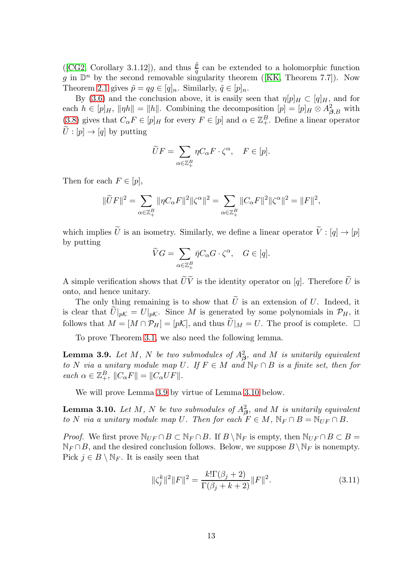([\[CG2,](#page-20-4) Corollary 3.1.12]), and thus  $\frac{\tilde{p}}{q}$  can be extended to a holomorphic function gin  $\mathbb{D}^n$  by the second removable singularity theorem ([\[KK,](#page-20-18) Theorem 7.7]). Now Theorem [2.1](#page-5-0) gives  $\tilde{p} = qg \in [q]_n$ . Similarly,  $\tilde{q} \in [p]_n$ .

By [\(3.6\)](#page-10-2) and the conclusion above, it is easily seen that  $\eta[p]_H \subset [q]_H$ , and for each  $h \in [p]_H$ ,  $\|\eta h\| = \|h\|$ . Combining the decomposition  $[p] = [p]_H \otimes A_{\beta,B}^2$  with [\(3.8\)](#page-11-2) gives that  $C_{\alpha} F \in [p]_H$  for every  $F \in [p]$  and  $\alpha \in \mathbb{Z}_{+}^B$ . Define a linear operator  $\tilde{U}: [p] \to [q]$  by putting

$$
\widetilde{U}F = \sum_{\alpha \in \mathbb{Z}_{+}^{B}} \eta C_{\alpha} F \cdot \zeta^{\alpha}, \quad F \in [p].
$$

Then for each  $F \in [p]$ ,

$$
\|\widetilde{U}F\|^2=\sum_{\alpha\in\mathbb{Z}_{+}^{B}}\|\eta C_{\alpha}F\|^2\|\zeta^{\alpha}\|^2=\sum_{\alpha\in\mathbb{Z}_{+}^{B}}\|C_{\alpha}F\|^2\|\zeta^{\alpha}\|^2=\|F\|^2,
$$

which implies  $\widetilde{U}$  is an isometry. Similarly, we define a linear operator  $\widetilde{V}: [q] \to [p]$ by putting

$$
\widetilde{V}G = \sum_{\alpha \in \mathbb{Z}_+^B} \overline{\eta} C_{\alpha} G \cdot \zeta^{\alpha}, \quad G \in [q].
$$

A simple verification shows that  $\widetilde{U}\widetilde{V}$  is the identity operator on [q]. Therefore  $\widetilde{U}$  is onto, and hence unitary.

The only thing remaining is to show that  $\tilde{U}$  is an extension of U. Indeed, it is clear that  $\tilde{U}|_{pK} = U|_{pK}$ . Since M is generated by some polynomials in  $\mathcal{P}_H$ , it follows that  $M = [M \cap \mathcal{P}_H] = [p\mathcal{K}]$ , and thus  $\widetilde{U}|_M = U$ . The proof is complete.  $\Box$ 

To prove Theorem [3.1,](#page-7-0) we also need the following lemma.

<span id="page-12-0"></span>**Lemma 3.9.** Let  $M$ ,  $N$  be two submodules of  $A^2_{\boldsymbol{\beta}},$  and  $M$  is unitarily equivalent *to* N *via a unitary module map* U. If  $F \in M$  *and*  $\mathbb{N}_F \cap B$  *is a finite set, then for*  $\operatorname{each} \alpha \in \mathbb{Z}_{+}^{B}, \|C_{\alpha}F\| = \|C_{\alpha}UF\|.$ 

We will prove Lemma [3.9](#page-12-0) by virtue of Lemma [3.10](#page-12-1) below.

<span id="page-12-1"></span>**Lemma 3.10.** Let  $M$ ,  $N$  be two submodules of  $A^2_{\boldsymbol{\beta}},$  and  $M$  is unitarily equivalent *to* N *via a unitary module map* U. Then for each  $F \in M$ ,  $\mathbb{N}_F \cap B = \mathbb{N}_{UF} \cap B$ .

*Proof.* We first prove  $\mathbb{N}_{UF} \cap B \subset \mathbb{N}_F \cap B$ . If  $B \setminus \mathbb{N}_F$  is empty, then  $\mathbb{N}_{UF} \cap B \subset B$  =  $\mathbb{N}_F \cap B$ , and the desired conclusion follows. Below, we suppose  $B \setminus \mathbb{N}_F$  is nonempty. Pick  $j \in B \setminus \mathbb{N}_F$ . It is easily seen that

<span id="page-12-2"></span>
$$
\|\zeta_j^k\|^2 \|F\|^2 = \frac{k!\Gamma(\beta_j+2)}{\Gamma(\beta_j+k+2)} \|F\|^2. \tag{3.11}
$$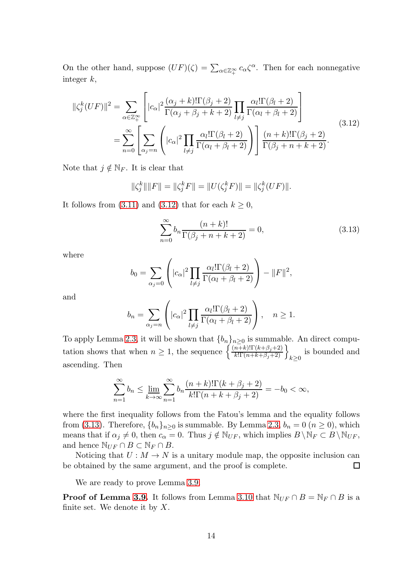On the other hand, suppose  $(UF)(\zeta) = \sum_{\alpha \in \mathbb{Z}_+^\infty} c_\alpha \zeta^\alpha$ . Then for each nonnegative integer k,

<span id="page-13-0"></span>
$$
\|\zeta_j^k(UF)\|^2 = \sum_{\alpha \in \mathbb{Z}_+^{\infty}} \left[|c_{\alpha}|^2 \frac{(\alpha_j + k)!\Gamma(\beta_j + 2)}{\Gamma(\alpha_j + \beta_j + k + 2)} \prod_{l \neq j} \frac{\alpha_l!\Gamma(\beta_l + 2)}{\Gamma(\alpha_l + \beta_l + 2)}\right]
$$
  

$$
= \sum_{n=0}^{\infty} \left[ \sum_{\alpha_j = n} \left(|c_{\alpha}|^2 \prod_{l \neq j} \frac{\alpha_l!\Gamma(\beta_l + 2)}{\Gamma(\alpha_l + \beta_l + 2)}\right) \right] \frac{(n+k)!\Gamma(\beta_j + 2)}{\Gamma(\beta_j + n + k + 2)}.
$$
 (3.12)

Note that  $j \notin \mathbb{N}_F$ . It is clear that

$$
\|\zeta_j^k\| \|F\| = \|\zeta_j^k F\| = \|U(\zeta_j^k F)\| = \|\zeta_j^k (UF)\|.
$$

It follows from [\(3.11\)](#page-12-2) and [\(3.12\)](#page-13-0) that for each  $k \geq 0$ ,

<span id="page-13-1"></span>
$$
\sum_{n=0}^{\infty} b_n \frac{(n+k)!}{\Gamma(\beta_j + n + k + 2)} = 0,
$$
\n(3.13)

where

$$
b_0 = \sum_{\alpha_j=0} \left( |c_\alpha|^2 \prod_{l \neq j} \frac{\alpha_l! \Gamma(\beta_l+2)}{\Gamma(\alpha_l+\beta_l+2)} \right) - ||F||^2,
$$

and

$$
b_n = \sum_{\alpha_j = n} \left( |c_{\alpha}|^2 \prod_{l \neq j} \frac{\alpha_l! \Gamma(\beta_l + 2)}{\Gamma(\alpha_l + \beta_l + 2)} \right), \quad n \ge 1.
$$

To apply Lemma [2.3,](#page-6-1) it will be shown that  $\{b_n\}_{n\geq 0}$  is summable. An direct computation shows that when  $n \geq 1$ , the sequence  $\left\{ \frac{(n+k)!\Gamma(k+\beta_j+2)}{k!\Gamma(n+k+\beta_j+2)} \right\}_{k \geq 0}$  is bounded and ascending. Then

$$
\sum_{n=1}^{\infty} b_n \le \lim_{k \to \infty} \sum_{n=1}^{\infty} b_n \frac{(n+k)!\Gamma(k+\beta_j+2)}{k!\Gamma(n+k+\beta_j+2)} = -b_0 < \infty,
$$

where the first inequality follows from the Fatou's lemma and the equality follows from [\(3.13\)](#page-13-1). Therefore,  ${b_n}_{n>0}$  is summable. By Lemma [2.3,](#page-6-1)  $b_n = 0$   $(n \ge 0)$ , which means that if  $\alpha_j \neq 0$ , then  $c_\alpha = 0$ . Thus  $j \notin \mathbb{N}_{UF}$ , which implies  $B \setminus \mathbb{N}_F \subset B \setminus \mathbb{N}_{UF}$ , and hence  $\mathbb{N}_{UF} \cap B \subset \mathbb{N}_F \cap B$ .

Noticing that  $U: M \to N$  is a unitary module map, the opposite inclusion can be obtained by the same argument, and the proof is complete. □

We are ready to prove Lemma [3.9.](#page-12-0)

**Proof of Lemma [3.9.](#page-12-0)** It follows from Lemma [3.10](#page-12-1) that  $\mathbb{N}_{UF} \cap B = \mathbb{N}_F \cap B$  is a finite set. We denote it by  $X$ .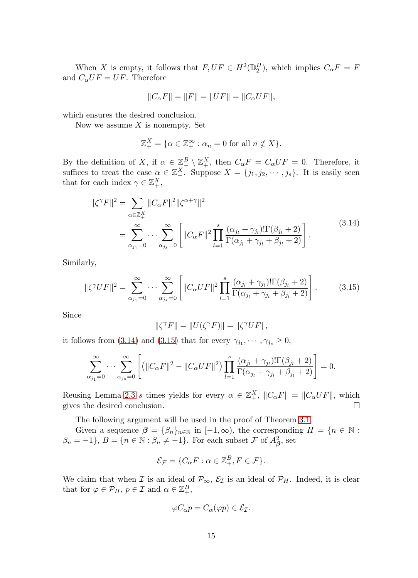When X is empty, it follows that  $F,UF \in H^2(\mathbb{D}_2^H)$ , which implies  $C_{\alpha}F = F$ and  $C_{\alpha}UF = UF$ . Therefore

$$
||C_{\alpha}F|| = ||F|| = ||UF|| = ||C_{\alpha}UF||,
$$

which ensures the desired conclusion.

Now we assume  $X$  is nonempty. Set

$$
\mathbb{Z}_{+}^{X} = \{ \alpha \in \mathbb{Z}_{+}^{\infty} : \alpha_{n} = 0 \text{ for all } n \notin X \}.
$$

By the definition of X, if  $\alpha \in \mathbb{Z}_{+}^{B} \setminus \mathbb{Z}_{+}^{X}$ , then  $C_{\alpha}F = C_{\alpha}UF = 0$ . Therefore, it suffices to treat the case  $\alpha \in \mathbb{Z}_+^X$ . Suppose  $X = \{j_1, j_2, \dots, j_s\}$ . It is easily seen that for each index  $\gamma \in \mathbb{Z}_+^X$ ,

<span id="page-14-0"></span>
$$
\|\zeta^{\gamma}F\|^{2} = \sum_{\alpha \in \mathbb{Z}_{+}^{X}} \|C_{\alpha}F\|^{2} \|\zeta^{\alpha+\gamma}\|^{2}
$$
  
= 
$$
\sum_{\alpha_{j_{1}}=0}^{\infty} \cdots \sum_{\alpha_{j_{s}}=0}^{\infty} \left[ \|C_{\alpha}F\|^{2} \prod_{l=1}^{s} \frac{(\alpha_{j_{l}} + \gamma_{j_{l}})!\Gamma(\beta_{j_{l}} + 2)}{\Gamma(\alpha_{j_{l}} + \gamma_{j_{l}} + \beta_{j_{l}} + 2)} \right].
$$
 (3.14)

Similarly,

<span id="page-14-1"></span>
$$
\|\zeta^{\gamma}UF\|^{2} = \sum_{\alpha_{j_{1}}=0}^{\infty} \cdots \sum_{\alpha_{j_{s}}=0}^{\infty} \left[ \|C_{\alpha}UF\|^{2} \prod_{l=1}^{s} \frac{(\alpha_{j_{l}} + \gamma_{j_{l}})!\Gamma(\beta_{j_{l}} + 2)}{\Gamma(\alpha_{j_{l}} + \gamma_{j_{l}} + \beta_{j_{l}} + 2)} \right].
$$
 (3.15)

Since

$$
\|\zeta^{\gamma}F\| = \|U(\zeta^{\gamma}F)\| = \|\zeta^{\gamma}UF\|,
$$

it follows from [\(3.14\)](#page-14-0) and [\(3.15\)](#page-14-1) that for every  $\gamma_{j_1}, \dots, \gamma_{j_s} \geq 0$ ,

$$
\sum_{\alpha_{j_1}=0}^{\infty} \cdots \sum_{\alpha_{j_s}=0}^{\infty} \left[ \left( \left\| C_{\alpha} F \right\|^2 - \left\| C_{\alpha} U F \right\|^2 \right) \prod_{l=1}^s \frac{(\alpha_{j_l} + \gamma_{j_l})! \Gamma(\beta_{j_l} + 2)}{\Gamma(\alpha_{j_l} + \gamma_{j_l} + \beta_{j_l} + 2)} \right] = 0.
$$

Reusing Lemma [2.3](#page-6-1) s times yields for every  $\alpha \in \mathbb{Z}_{+}^{X}$ ,  $||C_{\alpha}F|| = ||C_{\alpha}UF||$ , which gives the desired conclusion.

The following argument will be used in the proof of Theorem [3.1.](#page-7-0)

Given a sequence  $\beta = {\beta_n}_{n \in \mathbb{N}}$  in  $[-1, \infty)$ , the corresponding  $H = {n \in \mathbb{N}}$ :  $\beta_n = -1\}, B = \{n \in \mathbb{N} : \beta_n \neq -1\}.$  For each subset F of  $A^2_{\beta}$ , set

$$
\mathcal{E}_{\mathcal{F}} = \{C_{\alpha}F : \alpha \in \mathbb{Z}_{+}^{B}, F \in \mathcal{F}\}.
$$

We claim that when *I* is an ideal of  $\mathcal{P}_{\infty}$ ,  $\mathcal{E}_{\mathcal{I}}$  is an ideal of  $\mathcal{P}_{H}$ . Indeed, it is clear that for  $\varphi \in \mathcal{P}_H$ ,  $p \in \mathcal{I}$  and  $\alpha \in \mathbb{Z}_{+}^B$ ,

$$
\varphi C_{\alpha} p = C_{\alpha}(\varphi p) \in \mathcal{E}_{\mathcal{I}}.
$$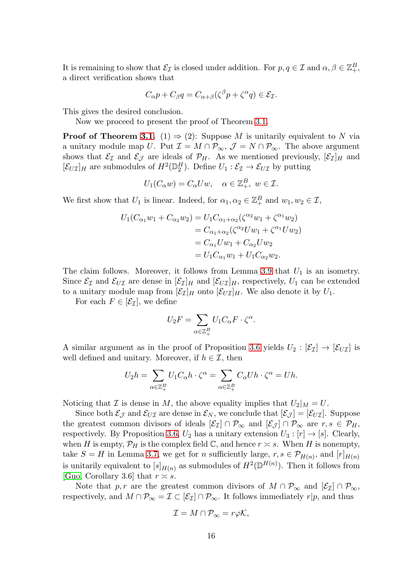It is remaining to show that  $\mathcal{E}_{\mathcal{I}}$  is closed under addition. For  $p, q \in \mathcal{I}$  and  $\alpha, \beta \in \mathbb{Z}_{+}^{B}$ , a direct verification shows that

$$
C_{\alpha}p + C_{\beta}q = C_{\alpha+\beta}(\zeta^{\beta}p + \zeta^{\alpha}q) \in \mathcal{E}_{\mathcal{I}}.
$$

This gives the desired conclusion.

Now we proceed to present the proof of Theorem [3.1.](#page-7-0)

**Proof of Theorem [3.1.](#page-7-0)** (1)  $\Rightarrow$  (2): Suppose M is unitarily equivalent to N via a unitary module map U. Put  $\mathcal{I} = M \cap \mathcal{P}_{\infty}$ ,  $\mathcal{J} = N \cap \mathcal{P}_{\infty}$ . The above argument shows that  $\mathcal{E}_{\mathcal{I}}$  and  $\mathcal{E}_{\mathcal{J}}$  are ideals of  $\mathcal{P}_H$ . As we mentioned previously,  $[\mathcal{E}_{\mathcal{I}}]_H$  and  $[\mathcal{E}_{U\mathcal{I}}]_H$  are submodules of  $H^2(\mathbb{D}_2^H)$ . Define  $U_1 : \mathcal{E}_{\mathcal{I}} \to \mathcal{E}_{U\mathcal{I}}$  by putting

$$
U_1(C_\alpha w) = C_\alpha Uw, \quad \alpha \in \mathbb{Z}_+^B, \ w \in \mathcal{I}.
$$

We first show that  $U_1$  is linear. Indeed, for  $\alpha_1, \alpha_2 \in \mathbb{Z}_+^B$  and  $w_1, w_2 \in \mathcal{I}$ ,

$$
U_1(C_{\alpha_1}w_1 + C_{\alpha_2}w_2) = U_1C_{\alpha_1+\alpha_2}(\zeta^{\alpha_2}w_1 + \zeta^{\alpha_1}w_2)
$$
  
=  $C_{\alpha_1+\alpha_2}(\zeta^{\alpha_2}Uw_1 + \zeta^{\alpha_1}Uw_2)$   
=  $C_{\alpha_1}Uw_1 + C_{\alpha_2}Uw_2$   
=  $U_1C_{\alpha_1}w_1 + U_1C_{\alpha_2}w_2$ .

The claim follows. Moreover, it follows from Lemma [3.9](#page-12-0) that  $U_1$  is an isometry. Since  $\mathcal{E}_I$  and  $\mathcal{E}_{UI}$  are dense in  $[\mathcal{E}_I]_H$  and  $[\mathcal{E}_{UI}]_H$ , respectively,  $U_1$  can be extended to a unitary module map from  $[\mathcal{E}_{\mathcal{I}}]_H$  onto  $[\mathcal{E}_{U\mathcal{I}}]_H$ . We also denote it by  $U_1$ .

For each  $F \in [\mathcal{E}_{\mathcal{I}}]$ , we define

$$
U_2F = \sum_{\alpha \in \mathbb{Z}_{+}^{B}} U_1 C_{\alpha} F \cdot \zeta^{\alpha}.
$$

A similar argument as in the proof of Proposition [3.6](#page-8-3) yields  $U_2 : [\mathcal{E}_\mathcal{I}] \to [\mathcal{E}_{U\mathcal{I}}]$  is well defined and unitary. Moreover, if  $h \in \mathcal{I}$ , then

$$
U_2h = \sum_{\alpha \in \mathbb{Z}_+^B} U_1C_{\alpha}h \cdot \zeta^{\alpha} = \sum_{\alpha \in \mathbb{Z}_+^B} C_{\alpha}Uh \cdot \zeta^{\alpha} = Uh.
$$

Noticing that  $\mathcal I$  is dense in M, the above equality implies that  $U_2|_M = U$ .

Since both  $\mathcal{E}_{\mathcal{J}}$  and  $\mathcal{E}_{U\mathcal{I}}$  are dense in  $\mathcal{E}_N$ , we conclude that  $|\mathcal{E}_{\mathcal{J}}| = |\mathcal{E}_{U\mathcal{I}}|$ . Suppose the greatest common divisors of ideals  $[\mathcal{E}_{\mathcal{I}}] \cap \mathcal{P}_{\infty}$  and  $[\mathcal{E}_{\mathcal{J}}] \cap \mathcal{P}_{\infty}$  are  $r, s \in \mathcal{P}_H$ , respectively. By Proposition [3.6,](#page-8-3)  $U_2$  has a unitary extension  $U_3: [r] \rightarrow [s]$ . Clearly, when H is empty,  $\mathcal{P}_H$  is the complex field C, and hence  $r \approx s$ . When H is nonempty, take  $S = H$  in Lemma [3.7,](#page-8-4) we get for *n* sufficiently large,  $r, s \in \mathcal{P}_{H(n)}$ , and  $[r]_{H(n)}$ is unitarily equivalent to  $[s]_{H(n)}$  as submodules of  $H^2(\mathbb{D}^{H(n)})$ . Then it follows from [\[Guo,](#page-20-3) Corollary 3.6] that  $r \approx s$ .

Note that p, r are the greatest common divisors of  $M \cap \mathcal{P}_{\infty}$  and  $[\mathcal{E}_{\mathcal{I}}] \cap \mathcal{P}_{\infty}$ , respectively, and  $M \cap \mathcal{P}_{\infty} = \mathcal{I} \subset [\mathcal{E}_{\mathcal{I}}] \cap \mathcal{P}_{\infty}$ . It follows immediately  $r|p$ , and thus

$$
\mathcal{I}=M\cap\mathcal{P}_{\infty}=r\varphi\mathcal{K},
$$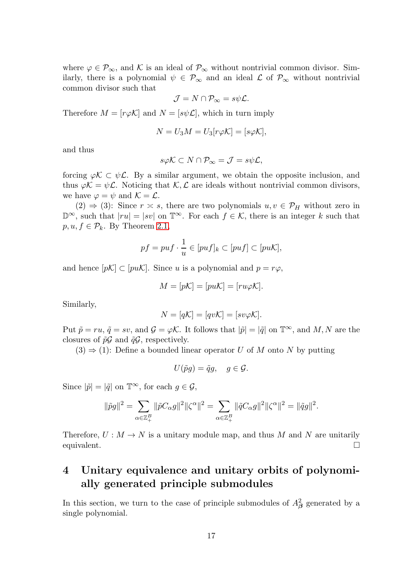where  $\varphi \in \mathcal{P}_{\infty}$ , and K is an ideal of  $\mathcal{P}_{\infty}$  without nontrivial common divisor. Similarly, there is a polynomial  $\psi \in \mathcal{P}_{\infty}$  and an ideal  $\mathcal L$  of  $\mathcal{P}_{\infty}$  without nontrivial common divisor such that

$$
\mathcal{J}=N\cap\mathcal{P}_{\infty}=s\psi\mathcal{L}.
$$

Therefore  $M = [r\varphi \mathcal{K}]$  and  $N = [s\psi \mathcal{L}]$ , which in turn imply

$$
N = U_3 M = U_3[r\varphi \mathcal{K}] = [s\varphi \mathcal{K}],
$$

and thus

$$
s\varphi\mathcal{K}\subset N\cap\mathcal{P}_{\infty}=\mathcal{J}=s\psi\mathcal{L},
$$

forcing  $\varphi \mathcal{K} \subset \psi \mathcal{L}$ . By a similar argument, we obtain the opposite inclusion, and thus  $\varphi \mathcal{K} = \psi \mathcal{L}$ . Noticing that  $\mathcal{K}, \mathcal{L}$  are ideals without nontrivial common divisors, we have  $\varphi = \psi$  and  $\mathcal{K} = \mathcal{L}$ .

 $(2) \Rightarrow (3)$ : Since  $r \approx s$ , there are two polynomials  $u, v \in \mathcal{P}_H$  without zero in  $\mathbb{D}^{\infty}$ , such that  $|ru| = |sv|$  on  $\mathbb{T}^{\infty}$ . For each  $f \in \mathcal{K}$ , there is an integer k such that  $p, u, f \in \mathcal{P}_k$ . By Theorem [2.1,](#page-5-0)

$$
pf = put \cdot \frac{1}{u} \in [put]_k \subset [put] \subset [puK],
$$

and hence  $[p\mathcal{K}] \subset [pu\mathcal{K}]$ . Since u is a polynomial and  $p = r\varphi$ ,

$$
M = [p\mathcal{K}] = [pu\mathcal{K}] = [ru\varphi\mathcal{K}].
$$

Similarly,

$$
N=[q\mathcal{K}]=[qv\mathcal{K}]=[sv\varphi\mathcal{K}].
$$

Put  $\tilde{p} = ru$ ,  $\tilde{q} = sv$ , and  $\mathcal{G} = \varphi\mathcal{K}$ . It follows that  $|\tilde{p}| = |\tilde{q}|$  on  $\mathbb{T}^{\infty}$ , and  $M, N$  are the closures of  $\tilde{p}\mathcal{G}$  and  $\tilde{q}\mathcal{G}$ , respectively.

 $(3) \Rightarrow (1)$ : Define a bounded linear operator U of M onto N by putting

$$
U(\tilde{p}g) = \tilde{q}g, \quad g \in \mathcal{G}.
$$

Since  $|\tilde{p}| = |\tilde{q}|$  on  $\mathbb{T}^{\infty}$ , for each  $g \in \mathcal{G}$ ,

$$
\|\tilde{p}g\|^2=\sum_{\alpha\in\mathbb{Z}_{+}^{B}}\|\tilde{p}C_{\alpha}g\|^2\|\zeta^{\alpha}\|^2=\sum_{\alpha\in\mathbb{Z}_{+}^{B}}\|\tilde{q}C_{\alpha}g\|^2\|\zeta^{\alpha}\|^2=\|\tilde{q}g\|^2.
$$

Therefore,  $U : M \to N$  is a unitary module map, and thus M and N are unitarily equivalent.  $\Box$ 

# 4 Unitary equivalence and unitary orbits of polynomially generated principle submodules

In this section, we turn to the case of principle submodules of  $A^2_\beta$  generated by a single polynomial.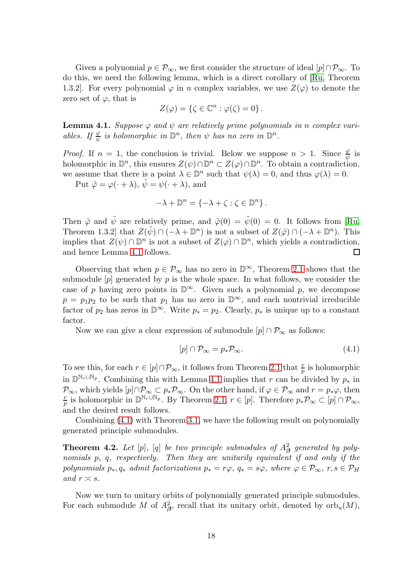Given a polynomial  $p \in \mathcal{P}_{\infty}$ , we first consider the structure of ideal  $[p] \cap \mathcal{P}_{\infty}$ . To do this, we need the following lemma, which is a direct corollary of [\[Ru,](#page-20-16) Theorem 1.3.2]. For every polynomial  $\varphi$  in n complex variables, we use  $Z(\varphi)$  to denote the zero set of  $\varphi$ , that is

$$
Z(\varphi) = \{ \zeta \in \mathbb{C}^n : \varphi(\zeta) = 0 \}.
$$

<span id="page-17-0"></span>**Lemma 4.1.** Suppose  $\varphi$  and  $\psi$  are relatively prime polynomials in n complex vari*ables. If*  $\frac{\varphi}{\psi}$  *is holomorphic in*  $\mathbb{D}^n$ *, then*  $\psi$  *has no zero in*  $\mathbb{D}^n$ *.* 

*Proof.* If  $n = 1$ , the conclusion is trivial. Below we suppose  $n > 1$ . Since  $\frac{\varphi}{\psi}$  is holomorphic in  $\mathbb{D}^n$ , this ensures  $Z(\psi) \cap \mathbb{D}^n \subset Z(\varphi) \cap \mathbb{D}^n$ . To obtain a contradiction, we assume that there is a point  $\lambda \in \mathbb{D}^n$  such that  $\psi(\lambda) = 0$ , and thus  $\varphi(\lambda) = 0$ .

Put  $\tilde{\varphi} = \varphi(\cdot + \lambda), \, \tilde{\psi} = \psi(\cdot + \lambda)$ , and

$$
-\lambda + \mathbb{D}^n = \{-\lambda + \zeta : \zeta \in \mathbb{D}^n\}.
$$

Then  $\tilde{\varphi}$  and  $\tilde{\psi}$  are relatively prime, and  $\tilde{\varphi}(0) = \tilde{\psi}(0) = 0$ . It follows from [\[Ru,](#page-20-16) Theorem 1.3.2 that  $Z(\tilde{\psi}) \cap (-\lambda + \mathbb{D}^n)$  is not a subset of  $Z(\tilde{\varphi}) \cap (-\lambda + \mathbb{D}^n)$ . This implies that  $Z(\psi) \cap \mathbb{D}^n$  is not a subset of  $Z(\varphi) \cap \mathbb{D}^n$ , which yields a contradiction, and hence Lemma [4.1](#page-17-0) follows.  $\Box$ 

Observing that when  $p \in \mathcal{P}_{\infty}$  has no zero in  $\mathbb{D}^{\infty}$ , Theorem [2.1](#page-5-0) shows that the submodule  $[p]$  generated by p is the whole space. In what follows, we consider the case of p having zero points in  $\mathbb{D}^{\infty}$ . Given such a polynomial p, we decompose  $p = p_1p_2$  to be such that  $p_1$  has no zero in  $\mathbb{D}^{\infty}$ , and each nontrivial irreducible factor of  $p_2$  has zeros in  $\mathbb{D}^{\infty}$ . Write  $p_* = p_2$ . Clearly,  $p_*$  is unique up to a constant factor.

Now we can give a clear expression of submodule  $[p] \cap \mathcal{P}_{\infty}$  as follows:

<span id="page-17-1"></span>
$$
[p] \cap \mathcal{P}_{\infty} = p_* \mathcal{P}_{\infty}.
$$
\n
$$
(4.1)
$$

To see this, for each  $r \in [p] \cap \mathcal{P}_{\infty}$ , it follows from Theorem [2.1](#page-5-0) that  $\frac{r}{p}$  is holomorphic in  $\mathbb{D}^{\mathbb{N}_r \cup \mathbb{N}_p}$ . Combining this with Lemma [4.1](#page-17-0) implies that r can be divided by  $p_*$  in  $\mathcal{P}_{\infty}$ , which yields  $[p] \cap \mathcal{P}_{\infty} \subset p_* \mathcal{P}_{\infty}$ . On the other hand, if  $\varphi \in \mathcal{P}_{\infty}$  and  $r = p_* \varphi$ , then r p is holomorphic in  $\mathbb{D}^{\mathbb{N}_r \cup \mathbb{N}_p}$ . By Theorem [2.1,](#page-5-0)  $r \in [p]$ . Therefore  $p_*\mathcal{P}_{\infty} \subset [p] \cap \mathcal{P}_{\infty}$ , and the desired result follows.

Combining [\(4.1\)](#page-17-1) with Theorem [3.1,](#page-7-0) we have the following result on polynomially generated principle submodules.

**Theorem 4.2.** Let  $[p]$ ,  $[q]$  be two principle submodules of  $A^2_{\boldsymbol{\beta}}$  generated by poly*nomials* p*,* q*, respectively. Then they are unitarily equivalent if and only if the polynomials*  $p_*, q_*$  *admit factorizations*  $p_* = r\varphi, q_* = s\varphi$ *, where*  $\varphi \in \mathcal{P}_{\infty}, r, s \in \mathcal{P}_H$ *and*  $r \simeq s$ *.* 

Now we turn to unitary orbits of polynomially generated principle submodules. For each submodule M of  $A^2_{\beta}$ , recall that its unitary orbit, denoted by  $\mathrm{orb}_u(M)$ ,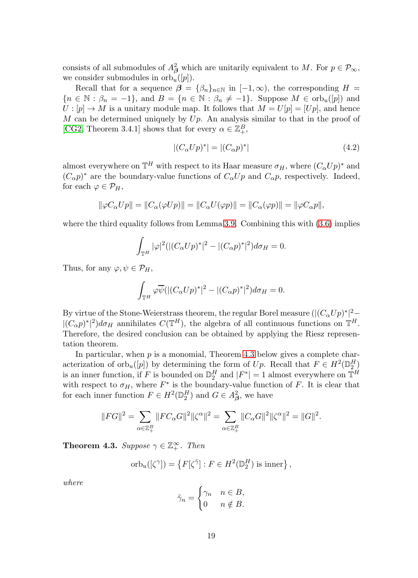consists of all submodules of  $A^2_{\beta}$  which are unitarily equivalent to M. For  $p \in \mathcal{P}_{\infty}$ , we consider submodules in  $orb_u([p])$ .

Recall that for a sequence  $\beta = {\beta_n}_{n \in \mathbb{N}}$  in  $[-1,\infty)$ , the corresponding  $H =$  ${n \in \mathbb{N} : \beta_n = -1}, \text{ and } B = {n \in \mathbb{N} : \beta_n \neq -1}.$  Suppose  $M \in \text{orb}_{u}([p])$  and  $U: [p] \to M$  is a unitary module map. It follows that  $M = U[p] = [Up]$ , and hence M can be determined uniquely by  $Up$ . An analysis similar to that in the proof of [\[CG2,](#page-20-4) Theorem 3.4.1] shows that for every  $\alpha \in \mathbb{Z}_{+}^{B}$ ,

<span id="page-18-1"></span>
$$
|(C_{\alpha}Up)^{*}| = |(C_{\alpha}p)^{*}| \tag{4.2}
$$

almost everywhere on  $\mathbb{T}^H$  with respect to its Haar measure  $\sigma_H$ , where  $(C_\alpha Up)^*$  and  $(C_{\alpha}p)^{*}$  are the boundary-value functions of  $C_{\alpha}Up$  and  $C_{\alpha}p$ , respectively. Indeed, for each  $\varphi \in \mathcal{P}_H$ ,

$$
\|\varphi C_{\alpha}Up\| = \|C_{\alpha}(\varphi Up)\| = \|C_{\alpha}U(\varphi p)\| = \|C_{\alpha}(\varphi p)\| = \|\varphi C_{\alpha}p\|,
$$

where the third equality follows from Lemma [3.9.](#page-12-0) Combining this with  $(3.6)$  implies

$$
\int_{\mathbb{T}^{H}} |\varphi|^{2} (|(C_{\alpha}Up)^{*}|^{2} - |(C_{\alpha}p)^{*}|^{2}) d\sigma_{H} = 0.
$$

Thus, for any  $\varphi, \psi \in \mathcal{P}_H$ ,

$$
\int_{\mathbb{T}^H} \varphi \overline{\psi}(|(C_{\alpha}Up)^*|^2 - |(C_{\alpha}p)^*|^2)d\sigma_H = 0.
$$

By virtue of the Stone-Weierstrass theorem, the regular Borel measure  $(|(C_\alpha Up)^*|^2 |(C_{\alpha}p)^*|^2)d\sigma_H$  annihilates  $C(\mathbb{T}^H)$ , the algebra of all continuous functions on  $\mathbb{T}^H$ . Therefore, the desired conclusion can be obtained by applying the Riesz representation theorem.

In particular, when  $p$  is a monomial, Theorem [4.3](#page-18-0) below gives a complete characterization of  $\text{orb}_{u}([p])$  by determining the form of Up. Recall that  $F \in H^2(\mathbb{D}_2^H)$ 2 is an inner function, if F is bounded on  $\mathbb{D}_{2}^{H}$  and  $|F^*| = 1$  almost everywhere on  $\mathbb{T}^{H}$ with respect to  $\sigma_H$ , where  $F^*$  is the boundary-value function of F. It is clear that for each inner function  $F \in H^2(\mathbb{D}_2^H)$  and  $G \in A^2_{\beta}$ , we have

$$
\|FG\|^2=\sum_{\alpha\in\mathbb{Z}_{+}^{B}}\|FC_{\alpha}G\|^2\|\zeta^{\alpha}\|^2=\sum_{\alpha\in\mathbb{Z}_{+}^{B}}\|C_{\alpha}G\|^2\|\zeta^{\alpha}\|^2=\|G\|^2.
$$

<span id="page-18-0"></span>**Theorem 4.3.** *Suppose*  $\gamma \in \mathbb{Z}_+^{\infty}$ *. Then* 

$$
\operatorname{orb}_u([\zeta^\gamma]) = \left\{ F[\zeta^{\tilde{\gamma}}] : F \in H^2(\mathbb{D}_2^H) \text{ is inner} \right\},\
$$

*where*

$$
\tilde{\gamma}_n = \begin{cases} \gamma_n & n \in B, \\ 0 & n \notin B. \end{cases}
$$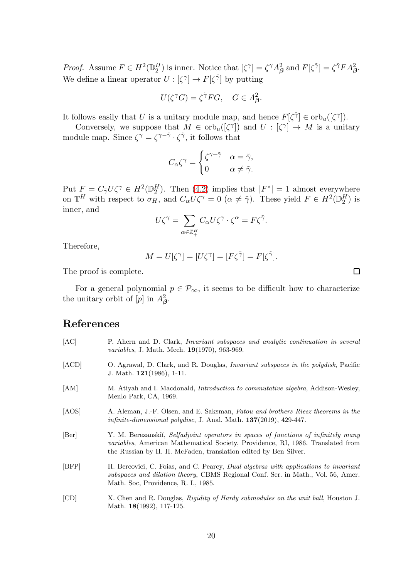*Proof.* Assume  $F \in H^2(\mathbb{D}_2^H)$  is inner. Notice that  $[\zeta^\gamma] = \zeta^\gamma A_\beta^2$  and  $F[\zeta^\gamma] = \zeta^\gamma F A_\beta^2$ . We define a linear operator  $U : [\zeta^\gamma] \to F[\zeta^{\tilde{\gamma}}]$  by putting

$$
U(\zeta^{\gamma}G) = \zeta^{\tilde{\gamma}}FG, \quad G \in A_{\beta}^{2}.
$$

It follows easily that U is a unitary module map, and hence  $F[\zeta^{\tilde{\gamma}}] \in \text{orb}_{u}([\zeta^{\gamma}]).$ 

Conversely, we suppose that  $M \in \text{orb}_{u}([\zeta^{\gamma}])$  and  $U : [\zeta^{\gamma}] \to M$  is a unitary module map. Since  $\zeta^{\gamma} = \zeta^{\gamma - \tilde{\gamma}} \cdot \zeta^{\tilde{\gamma}}$ , it follows that

$$
C_{\alpha}\zeta^{\gamma} = \begin{cases} \zeta^{\gamma - \tilde{\gamma}} & \alpha = \tilde{\gamma}, \\ 0 & \alpha \neq \tilde{\gamma}. \end{cases}
$$

Put  $F = C_{\tilde{\gamma}} U \zeta^{\gamma} \in H^2(\mathbb{D}_2^H)$ . Then [\(4.2\)](#page-18-1) implies that  $|F^*| = 1$  almost everywhere on  $\mathbb{T}^H$  with respect to  $\sigma_H$ , and  $C_\alpha U \zeta^\gamma = 0$   $(\alpha \neq \tilde{\gamma})$ . These yield  $F \in H^2(\mathbb{D}_2^H)$  is inner, and

$$
U\zeta^\gamma=\sum_{\alpha\in\mathbb{Z}_{+}^{B}}C_{\alpha}U\zeta^\gamma\cdot\zeta^\alpha=F\zeta^{\tilde{\gamma}}.
$$

Therefore,

$$
M = U[\zeta^{\gamma}] = [U\zeta^{\gamma}] = [F\zeta^{\tilde{\gamma}}] = F[\zeta^{\tilde{\gamma}}].
$$

 $\Box$ 

The proof is complete.

For a general polynomial  $p \in \mathcal{P}_{\infty}$ , it seems to be difficult how to characterize the unitary orbit of  $[p]$  in  $A^2_{\beta}$ .

## References

<span id="page-19-6"></span><span id="page-19-5"></span><span id="page-19-4"></span><span id="page-19-3"></span><span id="page-19-2"></span><span id="page-19-1"></span><span id="page-19-0"></span>

| [AC]  | P. Ahern and D. Clark, <i>Invariant subspaces and analytic continuation in several</i><br><i>variables</i> , J. Math. Mech. <b>19</b> (1970), 963-969.                                                                                           |
|-------|--------------------------------------------------------------------------------------------------------------------------------------------------------------------------------------------------------------------------------------------------|
| [ACD] | O. Agrawal, D. Clark, and R. Douglas, <i>Invariant subspaces in the polydisk</i> , Pacific<br>J. Math. $121(1986)$ , 1-11.                                                                                                                       |
| [AM]  | M. Atiyah and I. Macdonald, <i>Introduction to commutative algebra</i> , Addison-Wesley,<br>Menlo Park, CA, 1969.                                                                                                                                |
| [AOS] | A. Aleman, J.-F. Olsen, and E. Saksman, Fatou and brothers Riesz theorems in the<br><i>infinite-dimensional polydisc</i> , J. Anal. Math. $137(2019)$ , $429-447$ .                                                                              |
| [Ber] | Y. M. Berezanskii, Selfadjoint operators in spaces of functions of infinitely many<br><i>variables</i> , American Mathematical Society, Providence, RI, 1986. Translated from<br>the Russian by H. H. McFaden, translation edited by Ben Silver. |
| [BFP] | H. Bercovici, C. Foias, and C. Pearcy, Dual algebras with applications to invariant<br>subspaces and dilation theory, CBMS Regional Conf. Ser. in Math., Vol. 56, Amer.<br>Math. Soc. Providence, R. I., 1985.                                   |
| [CD]  | X. Chen and R. Douglas, Rigidity of Hardy submodules on the unit ball, Houston J.<br>Math. $18(1992)$ , 117-125.                                                                                                                                 |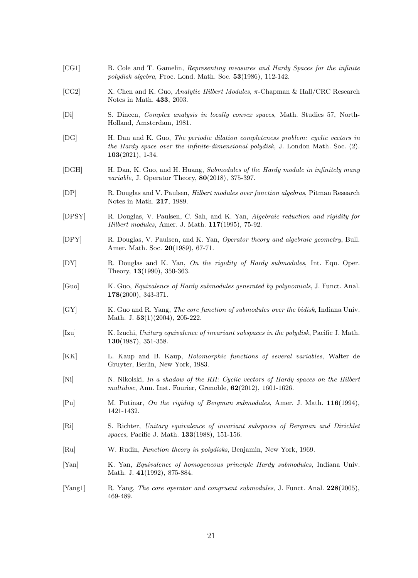- <span id="page-20-17"></span>[CG1] B. Cole and T. Gamelin, Representing measures and Hardy Spaces for the infinite polydisk algebra, Proc. Lond. Math. Soc. 53(1986), 112-142.
- <span id="page-20-4"></span>[CG2] X. Chen and K. Guo, Analytic Hilbert Modules, π-Chapman & Hall/CRC Research Notes in Math. 433, 2003.
- <span id="page-20-13"></span>[Di] S. Dineen, Complex analysis in locally convex spaces, Math. Studies 57, North-Holland, Amsterdam, 1981.
- <span id="page-20-14"></span>[DG] H. Dan and K. Guo, The periodic dilation completeness problem: cyclic vectors in the Hardy space over the infinite-dimensional polydisk, J. London Math. Soc. (2). 103(2021), 1-34.
- <span id="page-20-15"></span>[DGH] H. Dan, K. Guo, and H. Huang, Submodules of the Hardy module in infinitely many variable, J. Operator Theory, 80(2018), 375-397.
- <span id="page-20-1"></span>[DP] R. Douglas and V. Paulsen, Hilbert modules over function algebras, Pitman Research Notes in Math. 217, 1989.
- <span id="page-20-5"></span>[DPSY] R. Douglas, V. Paulsen, C. Sah, and K. Yan, Algebraic reduction and rigidity for Hilbert modules, Amer. J. Math. 117(1995), 75-92.
- <span id="page-20-6"></span>[DPY] R. Douglas, V. Paulsen, and K. Yan, Operator theory and algebraic geometry, Bull. Amer. Math. Soc. 20(1989), 67-71.
- <span id="page-20-7"></span>[DY] R. Douglas and K. Yan, On the rigidity of Hardy submodules, Int. Equ. Oper. Theory, 13(1990), 350-363.
- <span id="page-20-3"></span>[Guo] K. Guo, Equivalence of Hardy submodules generated by polynomials, J. Funct. Anal. 178(2000), 343-371.
- <span id="page-20-8"></span>[GY] K. Guo and R. Yang, The core function of submodules over the bidisk, Indiana Univ. Math. J. 53(1)(2004), 205-222.
- <span id="page-20-9"></span>[Izu] K. Izuchi, Unitary equivalence of invariant subspaces in the polydisk, Pacific J. Math. 130(1987), 351-358.
- <span id="page-20-18"></span>[KK] L. Kaup and B. Kaup, Holomorphic functions of several variables, Walter de Gruyter, Berlin, New York, 1983.
- <span id="page-20-12"></span>[Ni] N. Nikolski, In a shadow of the RH: Cyclic vectors of Hardy spaces on the Hilbert multidisc, Ann. Inst. Fourier, Grenoble, 62(2012), 1601-1626.
- <span id="page-20-11"></span>[Pu] M. Putinar, On the rigidity of Bergman submodules, Amer. J. Math. 116(1994), 1421-1432.
- <span id="page-20-0"></span>[Ri] S. Richter, Unitary equivalence of invariant subspaces of Bergman and Dirichlet spaces, Pacific J. Math. **133**(1988), 151-156.
- <span id="page-20-16"></span>[Ru] W. Rudin, Function theory in polydisks, Benjamin, New York, 1969.
- <span id="page-20-2"></span>[Yan] K. Yan, Equivalence of homogeneous principle Hardy submodules, Indiana Univ. Math. J. 41(1992), 875-884.
- <span id="page-20-10"></span>[Yang1] R. Yang, The core operator and congruent submodules, J. Funct. Anal. 228(2005), 469-489.